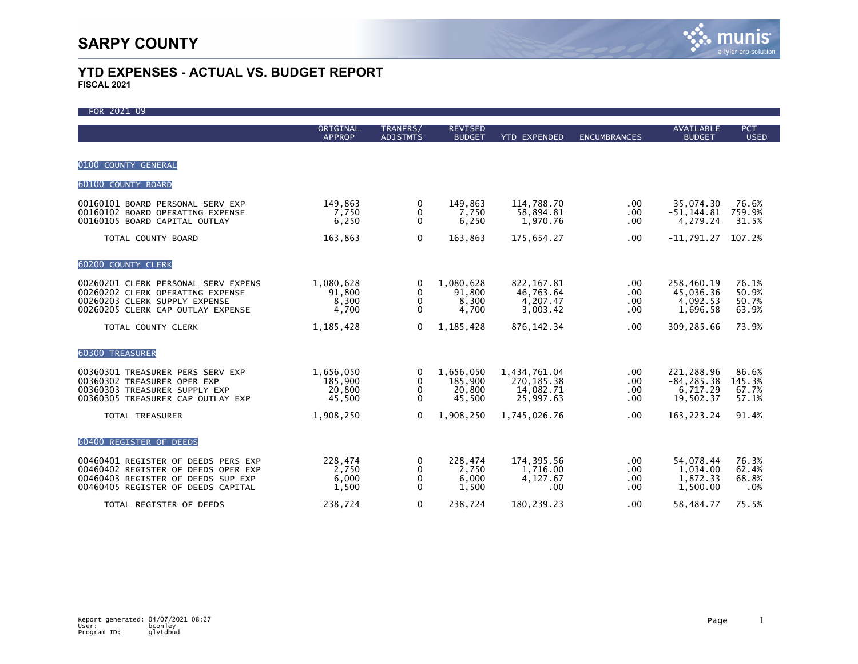| FOR 2021 09                                                                                                                                            |                                          |                             |                                          |                                                        |                               |                                                      |                                   |
|--------------------------------------------------------------------------------------------------------------------------------------------------------|------------------------------------------|-----------------------------|------------------------------------------|--------------------------------------------------------|-------------------------------|------------------------------------------------------|-----------------------------------|
|                                                                                                                                                        | ORIGINAL<br><b>APPROP</b>                | TRANFRS/<br><b>ADJSTMTS</b> | <b>REVISED</b><br><b>BUDGET</b>          | <b>YTD EXPENDED</b>                                    | <b>ENCUMBRANCES</b>           | <b>AVAILABLE</b><br><b>BUDGET</b>                    | <b>PCT</b><br><b>USED</b>         |
| 0100 COUNTY GENERAL                                                                                                                                    |                                          |                             |                                          |                                                        |                               |                                                      |                                   |
| 60100 COUNTY BOARD                                                                                                                                     |                                          |                             |                                          |                                                        |                               |                                                      |                                   |
| 00160101 BOARD PERSONAL SERV EXP<br>00160102 BOARD OPERATING EXPENSE<br>00160105 BOARD CAPITAL OUTLAY                                                  | 149,863<br>7,750<br>6,250                | 0<br>0<br>$\mathbf{0}$      | 149,863<br>7,750<br>6,250                | 114,788.70<br>58,894.81<br>1,970.76                    | $.00 \,$<br>.00<br>.00        | 35,074.30<br>$-51, 144.81$<br>4,279.24               | 76.6%<br>759.9%<br>31.5%          |
| TOTAL COUNTY BOARD                                                                                                                                     | 163,863                                  | $\mathbf 0$                 | 163,863                                  | 175,654.27                                             | .00                           | $-11,791.27$                                         | 107.2%                            |
| 60200 COUNTY CLERK                                                                                                                                     |                                          |                             |                                          |                                                        |                               |                                                      |                                   |
| 00260201 CLERK PERSONAL SERV EXPENS<br>00260202 CLERK OPERATING EXPENSE<br>00260203 CLERK SUPPLY EXPENSE<br>00260205 CLERK CAP OUTLAY EXPENSE          | 1,080,628<br>91,800<br>8,300<br>4,700    | 0<br>0<br>0<br>$\Omega$     | 1,080,628<br>91,800<br>8,300<br>4,700    | 822, 167.81<br>46,763.64<br>4,207.47<br>3,003.42       | .00.<br>.00<br>.00<br>.00     | 258,460.19<br>45,036.36<br>4,092.53<br>1,696.58      | 76.1%<br>50.9%<br>50.7%<br>63.9%  |
| TOTAL COUNTY CLERK                                                                                                                                     | 1,185,428                                | 0                           | 1,185,428                                | 876, 142. 34                                           | .00.                          | 309,285.66                                           | 73.9%                             |
| <b>60300 TREASURER</b>                                                                                                                                 |                                          |                             |                                          |                                                        |                               |                                                      |                                   |
| 00360301 TREASURER PERS SERV EXP<br>00360302 TREASURER OPER EXP<br>00360303 TREASURER SUPPLY EXP<br>00360305 TREASURER CAP OUTLAY EXP                  | 1,656,050<br>185,900<br>20,800<br>45,500 | 0<br>0<br>0<br>$\Omega$     | 1,656,050<br>185,900<br>20,800<br>45,500 | 1,434,761.04<br>270, 185. 38<br>14,082.71<br>25,997.63 | .00<br>.00<br>.00<br>.00      | 221,288.96<br>$-84, 285.38$<br>6,717.29<br>19,502.37 | 86.6%<br>145.3%<br>67.7%<br>57.1% |
| TOTAL TREASURER                                                                                                                                        | 1,908,250                                | $\Omega$                    | 1,908,250                                | 1,745,026.76                                           | .00                           | 163, 223. 24                                         | 91.4%                             |
| 60400 REGISTER OF DEEDS                                                                                                                                |                                          |                             |                                          |                                                        |                               |                                                      |                                   |
| 00460401 REGISTER OF DEEDS PERS EXP<br>00460402 REGISTER OF DEEDS OPER EXP<br>00460403 REGISTER OF DEEDS SUP EXP<br>00460405 REGISTER OF DEEDS CAPITAL | 228,474<br>2,750<br>6,000<br>1,500       | 0<br>0<br>0<br>$\mathbf{0}$ | 228,474<br>2,750<br>6,000<br>1,500       | 174,395.56<br>1,716.00<br>4,127.67<br>.00              | $.00 \,$<br>.00<br>.00<br>.00 | 54,078.44<br>1,034.00<br>1,872.33<br>1,500.00        | 76.3%<br>62.4%<br>68.8%<br>.0%    |
| TOTAL REGISTER OF DEEDS                                                                                                                                | 238.724                                  | 0                           | 238.724                                  | 180.239.23                                             | .00                           | 58.484.77                                            | 75.5%                             |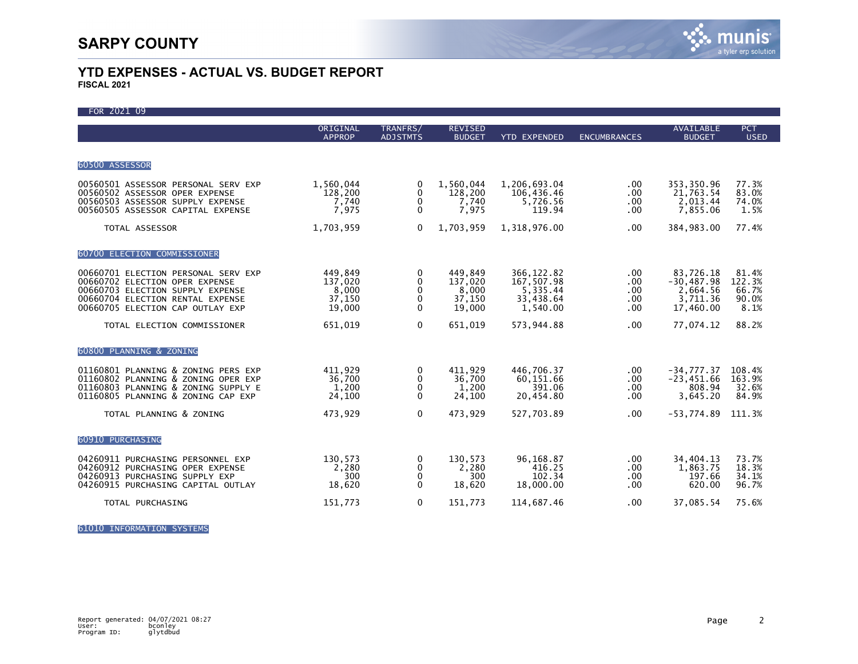| FOR 2021 09                                                                                                                                                                       |                                                 |                                                   |                                                 |                                                                |                                    |                                                                |                                           |
|-----------------------------------------------------------------------------------------------------------------------------------------------------------------------------------|-------------------------------------------------|---------------------------------------------------|-------------------------------------------------|----------------------------------------------------------------|------------------------------------|----------------------------------------------------------------|-------------------------------------------|
|                                                                                                                                                                                   | ORIGINAL<br><b>APPROP</b>                       | TRANFRS/<br><b>ADJSTMTS</b>                       | <b>REVISED</b><br><b>BUDGET</b>                 | <b>YTD EXPENDED</b>                                            | <b>ENCUMBRANCES</b>                | <b>AVAILABLE</b><br><b>BUDGET</b>                              | <b>PCT</b><br><b>USED</b>                 |
|                                                                                                                                                                                   |                                                 |                                                   |                                                 |                                                                |                                    |                                                                |                                           |
| 60500 ASSESSOR                                                                                                                                                                    |                                                 |                                                   |                                                 |                                                                |                                    |                                                                |                                           |
| 00560501 ASSESSOR PERSONAL SERV EXP<br>00560502 ASSESSOR OPER EXPENSE<br>00560503 ASSESSOR SUPPLY EXPENSE<br>00560505 ASSESSOR CAPITAL EXPENSE                                    | 1,560,044<br>128,200<br>7.740<br>7,975          | 0<br>0<br>0<br>$\Omega$                           | 1,560,044<br>128,200<br>7,740<br>7,975          | 1,206,693.04<br>106,436.46<br>5.726.56<br>119.94               | $.00 \,$<br>.00<br>.00<br>.00      | 353,350.96<br>21,763.54<br>2.013.44<br>7,855.06                | 77.3%<br>83.0%<br>74.0%<br>1.5%           |
| TOTAL ASSESSOR                                                                                                                                                                    | 1,703,959                                       | $\mathbf{0}$                                      | 1,703,959                                       | 1,318,976.00                                                   | .00                                | 384,983.00                                                     | 77.4%                                     |
| 60700 ELECTION COMMISSIONER                                                                                                                                                       |                                                 |                                                   |                                                 |                                                                |                                    |                                                                |                                           |
| 00660701 ELECTION PERSONAL SERV EXP<br>00660702 ELECTION OPER EXPENSE<br>00660703 ELECTION SUPPLY EXPENSE<br>00660704 ELECTION RENTAL EXPENSE<br>00660705 ELECTION CAP OUTLAY EXP | 449,849<br>137,020<br>8,000<br>37,150<br>19,000 | 0<br>$\mathbf{0}$<br>$\Omega$<br>0<br>$\Omega$    | 449,849<br>137,020<br>8,000<br>37,150<br>19,000 | 366, 122.82<br>167,507.98<br>5,335.44<br>33,438.64<br>1,540.00 | .00<br>.00<br>.00<br>.00<br>.00.   | 83,726.18<br>$-30.487.98$<br>2,664.56<br>3,711.36<br>17,460.00 | 81.4%<br>122.3%<br>66.7%<br>90.0%<br>8.1% |
| TOTAL ELECTION COMMISSIONER                                                                                                                                                       | 651,019                                         | $\Omega$                                          | 651.019                                         | 573,944.88                                                     | .00                                | 77,074.12                                                      | 88.2%                                     |
| 60800 PLANNING & ZONING                                                                                                                                                           |                                                 |                                                   |                                                 |                                                                |                                    |                                                                |                                           |
| 01160801 PLANNING & ZONING PERS EXP<br>01160802 PLANNING & ZONING OPER EXP<br>01160803 PLANNING & ZONING SUPPLY E<br>01160805 PLANNING & ZONING CAP EXP                           | 411,929<br>36,700<br>1,200<br>24,100            | 0<br>0<br>$\mathbf{0}$<br>$\Omega$                | 411,929<br>36,700<br>1,200<br>24,100            | 446,706.37<br>60,151.66<br>391.06<br>20,454.80                 | $.00 \,$<br>.00<br>.00<br>.00      | $-34,777.37$<br>$-23,451.66$<br>808.94<br>3,645.20             | 108.4%<br>163.9%<br>32.6%<br>84.9%        |
| TOTAL PLANNING & ZONING                                                                                                                                                           | 473,929                                         | 0                                                 | 473,929                                         | 527,703.89                                                     | .00.                               | $-53,774.89$                                                   | 111.3%                                    |
| 60910 PURCHASING                                                                                                                                                                  |                                                 |                                                   |                                                 |                                                                |                                    |                                                                |                                           |
| 04260911 PURCHASING PERSONNEL EXP<br>04260912 PURCHASING OPER EXPENSE<br>04260913 PURCHASING SUPPLY EXP<br>04260915 PURCHASING CAPITAL OUTLAY                                     | 130,573<br>2,280<br>300<br>18,620               | 0<br>$\mathbf{0}$<br>$\mathbf{0}$<br>$\mathbf{0}$ | 130,573<br>2,280<br>300<br>18,620               | 96,168.87<br>416.25<br>102.34<br>18,000.00                     | $.00 \,$<br>$.00 \,$<br>.00<br>.00 | 34,404.13<br>1,863.75<br>197.66<br>620.00                      | 73.7%<br>18.3%<br>34.1%<br>96.7%          |
| TOTAL PURCHASING                                                                                                                                                                  | 151,773                                         | 0                                                 | 151,773                                         | 114,687.46                                                     | .00                                | 37,085.54                                                      | 75.6%                                     |

61010 INFORMATION SYSTEMS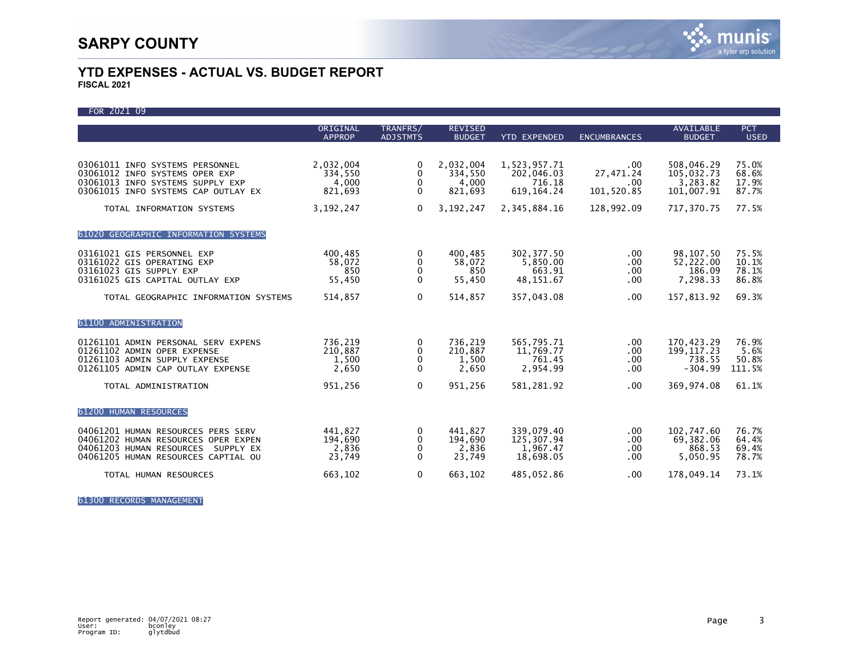| FOR 2021 09                                                                                                                                            |                                       |                                              |                                       |                                                   |                                    |                                                  |                                  |
|--------------------------------------------------------------------------------------------------------------------------------------------------------|---------------------------------------|----------------------------------------------|---------------------------------------|---------------------------------------------------|------------------------------------|--------------------------------------------------|----------------------------------|
|                                                                                                                                                        | ORIGINAL<br><b>APPROP</b>             | TRANFRS/<br><b>ADJSTMTS</b>                  | <b>REVISED</b><br><b>BUDGET</b>       | <b>YTD EXPENDED</b>                               | <b>ENCUMBRANCES</b>                | <b>AVAILABLE</b><br><b>BUDGET</b>                | <b>PCT</b><br><b>USED</b>        |
| 03061011 INFO SYSTEMS PERSONNEL                                                                                                                        | 2,032,004                             | 0                                            | 2,032,004                             | 1,523,957.71                                      | .00                                | 508,046.29                                       | 75.0%                            |
| 03061012 INFO SYSTEMS OPER EXP<br>03061013 INFO SYSTEMS SUPPLY EXP<br>03061015 INFO SYSTEMS CAP OUTLAY EX                                              | 334,550<br>4,000<br>821,693           | $\mathbf{0}$<br>$\mathbf{0}$<br>$\mathbf{0}$ | 334,550<br>4,000<br>821,693           | 202,046.03<br>716.18<br>619, 164. 24              | 27,471.24<br>.00<br>101,520.85     | 105,032.73<br>3,283.82<br>101,007.91             | 68.6%<br>17.9%<br>87.7%          |
| TOTAL INFORMATION SYSTEMS                                                                                                                              | 3, 192, 247                           | $\mathbf{0}$                                 | 3,192,247                             | 2,345,884.16                                      | 128,992.09                         | 717,370.75                                       | 77.5%                            |
| 61020 GEOGRAPHIC INFORMATION SYSTEMS                                                                                                                   |                                       |                                              |                                       |                                                   |                                    |                                                  |                                  |
| 03161021 GIS PERSONNEL EXP<br>03161022 GIS OPERATING EXP<br>03161023 GIS SUPPLY EXP<br>03161025 GIS CAPITAL OUTLAY EXP                                 | 400,485<br>58,072<br>850<br>55,450    | 0<br>0<br>0<br>0                             | 400,485<br>58,072<br>850<br>55,450    | 302, 377.50<br>5.850.00<br>663.91<br>48, 151.67   | .00<br>$.00 \,$<br>.00<br>$.00 \,$ | 98, 107.50<br>52.222.00<br>186.09<br>7,298.33    | 75.5%<br>10.1%<br>78.1%<br>86.8% |
| TOTAL GEOGRAPHIC INFORMATION SYSTEMS                                                                                                                   | 514,857                               | 0                                            | 514,857                               | 357,043.08                                        | .00.                               | 157,813.92                                       | 69.3%                            |
| 61100 ADMINISTRATION                                                                                                                                   |                                       |                                              |                                       |                                                   |                                    |                                                  |                                  |
| 01261101 ADMIN PERSONAL SERV EXPENS<br>01261102 ADMIN OPER EXPENSE<br>01261103 ADMIN SUPPLY EXPENSE<br>01261105 ADMIN CAP OUTLAY EXPENSE               | 736,219<br>210,887<br>1,500<br>2,650  | 0<br>0<br>$\Omega$<br>$\Omega$               | 736,219<br>210,887<br>1,500<br>2,650  | 565,795.71<br>11,769.77<br>761.45<br>2,954.99     | $.00 \,$<br>.00<br>.00<br>$.00 \,$ | 170,423.29<br>199, 117.23<br>738.55<br>$-304.99$ | 76.9%<br>5.6%<br>50.8%<br>111.5% |
| TOTAL ADMINISTRATION                                                                                                                                   | 951,256                               | $\Omega$                                     | 951,256                               | 581,281.92                                        | .00                                | 369,974.08                                       | 61.1%                            |
| 61200 HUMAN RESOURCES                                                                                                                                  |                                       |                                              |                                       |                                                   |                                    |                                                  |                                  |
| 04061201 HUMAN RESOURCES PERS SERV<br>04061202 HUMAN RESOURCES OPER EXPEN<br>04061203 HUMAN RESOURCES SUPPLY EX<br>04061205 HUMAN RESOURCES CAPTIAL OU | 441.827<br>194,690<br>2,836<br>23,749 | 0<br>0<br>$\mathbf{0}$<br>$\mathbf 0$        | 441.827<br>194,690<br>2,836<br>23,749 | 339.079.40<br>125,307.94<br>1,967.47<br>18.698.05 | $.00 \,$<br>.00<br>.00<br>.00      | 102.747.60<br>69,382.06<br>868.53<br>5.050.95    | 76.7%<br>64.4%<br>69.4%<br>78.7% |
| TOTAL HUMAN RESOURCES                                                                                                                                  | 663,102                               | 0                                            | 663,102                               | 485,052.86                                        | .00                                | 178,049.14                                       | 73.1%                            |

61300 RECORDS MANAGEMENT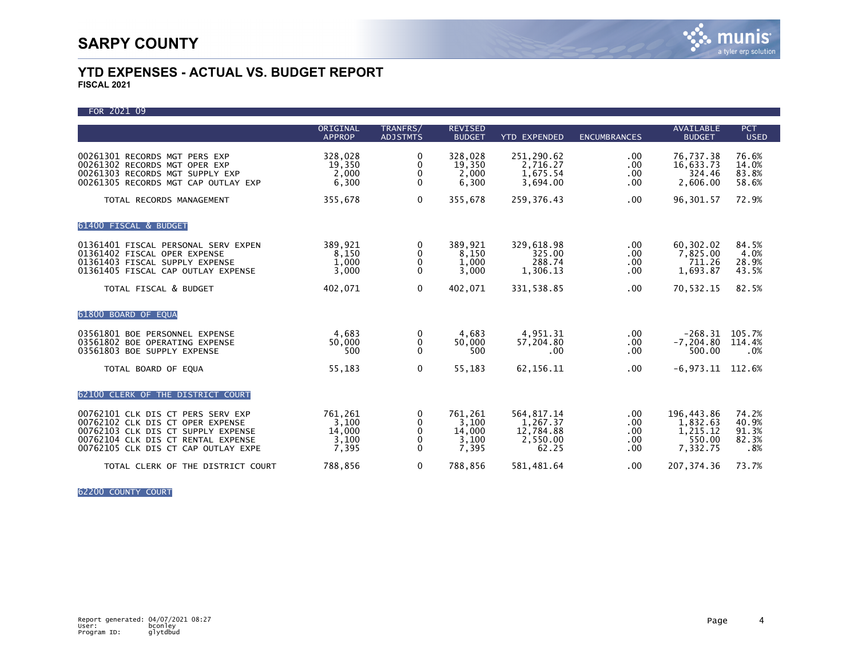| FOR 2021 09 |  |
|-------------|--|

|                                                                                                                                                                                          | ORIGINAL                                     | TRANFRS/                       | <b>REVISED</b>                               |                                                          |                                 | <b>AVAILABLE</b>                                         | <b>PCT</b>                              |
|------------------------------------------------------------------------------------------------------------------------------------------------------------------------------------------|----------------------------------------------|--------------------------------|----------------------------------------------|----------------------------------------------------------|---------------------------------|----------------------------------------------------------|-----------------------------------------|
|                                                                                                                                                                                          | <b>APPROP</b>                                | <b>ADJSTMTS</b>                | <b>BUDGET</b>                                | <b>YTD EXPENDED</b>                                      | <b>ENCUMBRANCES</b>             | <b>BUDGET</b>                                            | <b>USED</b>                             |
| 00261301 RECORDS MGT PERS EXP<br>00261302 RECORDS MGT OPER EXP<br>00261303 RECORDS MGT SUPPLY EXP<br>00261305 RECORDS MGT CAP OUTLAY EXP                                                 | 328,028<br>19,350<br>2.000<br>6,300          | 0<br>0<br>0<br>$\Omega$        | 328,028<br>19.350<br>2.000<br>6,300          | 251,290.62<br>2,716.27<br>1,675.54<br>3,694.00           | .00.<br>.00<br>.00<br>.00       | 76,737.38<br>16,633.73<br>324.46<br>2,606.00             | 76.6%<br>14.0%<br>83.8%<br>58.6%        |
| TOTAL RECORDS MANAGEMENT                                                                                                                                                                 | 355,678                                      | $\mathbf{0}$                   | 355,678                                      | 259,376.43                                               | .00                             | 96,301.57                                                | 72.9%                                   |
| 61400 FISCAL & BUDGET                                                                                                                                                                    |                                              |                                |                                              |                                                          |                                 |                                                          |                                         |
| 01361401 FISCAL PERSONAL SERV EXPEN<br>01361402 FISCAL OPER EXPENSE<br>01361403 FISCAL SUPPLY EXPENSE<br>01361405 FISCAL CAP OUTLAY EXPENSE                                              | 389,921<br>8,150<br>1,000<br>3,000           | 0<br>0<br>$\Omega$<br>$\Omega$ | 389,921<br>8,150<br>1,000<br>3,000           | 329,618.98<br>325.00<br>288.74<br>1,306.13               | $.00 \,$<br>.00<br>.00<br>.00   | 60,302.02<br>7,825.00<br>711.26<br>1,693.87              | 84.5%<br>4.0%<br>28.9%<br>43.5%         |
| TOTAL FISCAL & BUDGET                                                                                                                                                                    | 402,071                                      | $\mathbf{0}$                   | 402,071                                      | 331,538.85                                               | .00                             | 70,532.15                                                | 82.5%                                   |
| 61800 BOARD OF EQUA                                                                                                                                                                      |                                              |                                |                                              |                                                          |                                 |                                                          |                                         |
| 03561801 BOE PERSONNEL EXPENSE<br>03561802 BOE OPERATING EXPENSE<br>03561803 BOE SUPPLY EXPENSE                                                                                          | 4,683<br>50,000<br>500                       | 0<br>0<br>$\Omega$             | 4,683<br>50,000<br>500                       | 4,951.31<br>57.204.80<br>.00                             | .00<br>.00<br>.00               | $-268.31$<br>$-7, 204.80$<br>500.00                      | 105.7%<br>114.4%<br>.0%                 |
| TOTAL BOARD OF EQUA                                                                                                                                                                      | 55,183                                       | 0                              | 55,183                                       | 62, 156. 11                                              | .00                             | $-6,973.11$                                              | 112.6%                                  |
| 62100 CLERK OF THE DISTRICT COURT                                                                                                                                                        |                                              |                                |                                              |                                                          |                                 |                                                          |                                         |
| 00762101 CLK DIS CT PERS SERV EXP<br>00762102 CLK DIS CT OPER EXPENSE<br>00762103 CLK DIS CT SUPPLY EXPENSE<br>00762104 CLK DIS CT RENTAL EXPENSE<br>00762105 CLK DIS CT CAP OUTLAY EXPE | 761,261<br>3,100<br>14,000<br>3,100<br>7,395 | 0<br>0<br>0<br>0<br>$\Omega$   | 761,261<br>3.100<br>14,000<br>3,100<br>7,395 | 564,817.14<br>1,267.37<br>12.784.88<br>2,550.00<br>62.25 | .00<br>.00<br>.00<br>.00<br>.00 | 196,443.86<br>1,832.63<br>1,215.12<br>550.00<br>7,332.75 | 74.2%<br>40.9%<br>91.3%<br>82.3%<br>.8% |
| TOTAL CLERK OF THE DISTRICT COURT                                                                                                                                                        | 788,856                                      | 0                              | 788,856                                      | 581,481.64                                               | $.00 \,$                        | 207, 374.36                                              | 73.7%                                   |

62200 COUNTY COURT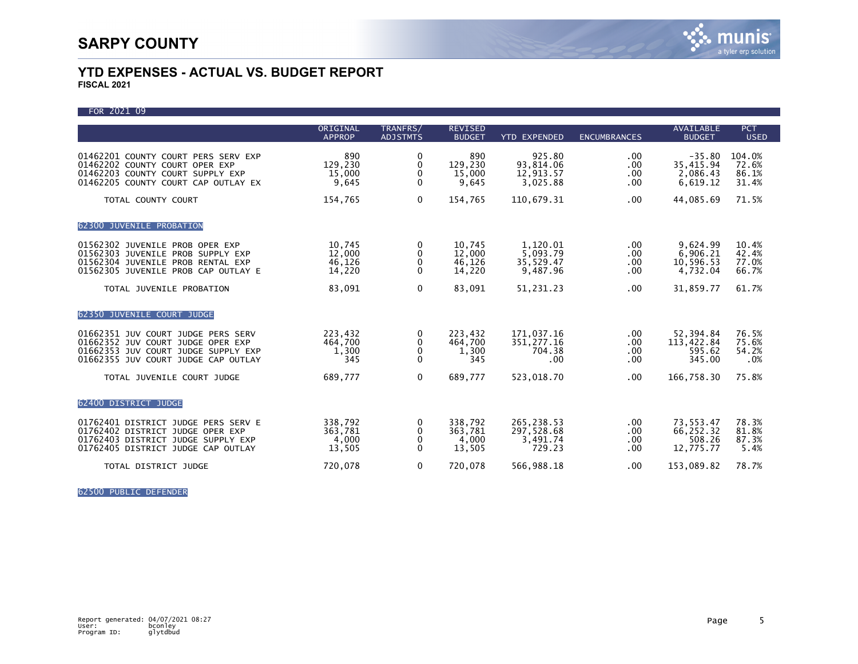| FOR 2021 09                                                                                                                                           |                                       |                             |                                       |                                                 |                                |                                               |                                   |
|-------------------------------------------------------------------------------------------------------------------------------------------------------|---------------------------------------|-----------------------------|---------------------------------------|-------------------------------------------------|--------------------------------|-----------------------------------------------|-----------------------------------|
|                                                                                                                                                       | ORIGINAL<br><b>APPROP</b>             | TRANFRS/<br><b>ADJSTMTS</b> | <b>REVISED</b><br><b>BUDGET</b>       | <b>YTD EXPENDED</b>                             | <b>ENCUMBRANCES</b>            | <b>AVAILABLE</b><br><b>BUDGET</b>             | <b>PCT</b><br><b>USED</b>         |
| 01462201 COUNTY COURT PERS SERV EXP<br>01462202 COUNTY COURT OPER EXP<br>01462203 COUNTY COURT SUPPLY EXP<br>01462205 COUNTY COURT CAP OUTLAY EX      | 890<br>129,230<br>15,000<br>9,645     | 0<br>0<br>0<br>0            | 890<br>129.230<br>15,000<br>9,645     | 925.80<br>93,814.06<br>12,913.57<br>3,025.88    | .00.<br>.00<br>.00<br>$.00 \,$ | $-35.80$<br>35,415.94<br>2,086.43<br>6,619.12 | 104.0%<br>72.6%<br>86.1%<br>31.4% |
| TOTAL COUNTY COURT                                                                                                                                    | 154,765                               | $\mathbf 0$                 | 154,765                               | 110,679.31                                      | .00.                           | 44,085.69                                     | 71.5%                             |
| 62300 JUVENILE PROBATION                                                                                                                              |                                       |                             |                                       |                                                 |                                |                                               |                                   |
| 01562302 JUVENILE PROB OPER EXP<br>01562303 JUVENILE PROB SUPPLY EXP<br>01562304 JUVENILE PROB RENTAL EXP<br>01562305 JUVENILE PROB CAP OUTLAY E      | 10,745<br>12,000<br>46,126<br>14,220  | 0<br>0<br>0<br>$\Omega$     | 10,745<br>12,000<br>46,126<br>14,220  | 1,120.01<br>5,093.79<br>35,529.47<br>9.487.96   | .00.<br>.00<br>.00.<br>.00     | 9,624.99<br>6,906.21<br>10,596.53<br>4,732.04 | 10.4%<br>42.4%<br>77.0%<br>66.7%  |
| TOTAL JUVENILE PROBATION                                                                                                                              | 83,091                                | $\mathbf 0$                 | 83,091                                | 51,231.23                                       | .00.                           | 31,859.77                                     | 61.7%                             |
| 62350 JUVENILE COURT JUDGE                                                                                                                            |                                       |                             |                                       |                                                 |                                |                                               |                                   |
| 01662351 JUV COURT JUDGE PERS SERV<br>01662352 JUV COURT JUDGE OPER EXP<br>01662353 JUV COURT JUDGE SUPPLY EXP<br>01662355 JUV COURT JUDGE CAP OUTLAY | 223,432<br>464,700<br>1,300<br>345    | 0<br>0<br>0<br>$\mathbf 0$  | 223.432<br>464,700<br>1,300<br>345    | 171,037.16<br>351,277.16<br>704.38<br>.00       | .00.<br>.00<br>.00<br>.00.     | 52,394.84<br>113,422.84<br>595.62<br>345.00   | 76.5%<br>75.6%<br>54.2%<br>.0%    |
| TOTAL JUVENILE COURT JUDGE                                                                                                                            | 689,777                               | $\mathbf{0}$                | 689.777                               | 523,018.70                                      | .00.                           | 166,758.30                                    | 75.8%                             |
| 62400 DISTRICT JUDGE                                                                                                                                  |                                       |                             |                                       |                                                 |                                |                                               |                                   |
| 01762401 DISTRICT JUDGE PERS SERV E<br>01762402 DISTRICT JUDGE OPER EXP<br>01762403 DISTRICT JUDGE SUPPLY EXP<br>01762405 DISTRICT JUDGE CAP OUTLAY   | 338,792<br>363,781<br>4,000<br>13,505 | 0<br>0<br>0<br>$\Omega$     | 338,792<br>363,781<br>4,000<br>13,505 | 265, 238.53<br>297,528.68<br>3,491.74<br>729.23 | .00.<br>.00<br>.00<br>$.00 \,$ | 73,553.47<br>66,252.32<br>508.26<br>12,775.77 | 78.3%<br>81.8%<br>87.3%<br>5.4%   |
| TOTAL DISTRICT JUDGE                                                                                                                                  | 720,078                               | $\mathbf 0$                 | 720,078                               | 566,988.18                                      | .00.                           | 153,089.82                                    | 78.7%                             |

62500 PUBLIC DEFENDER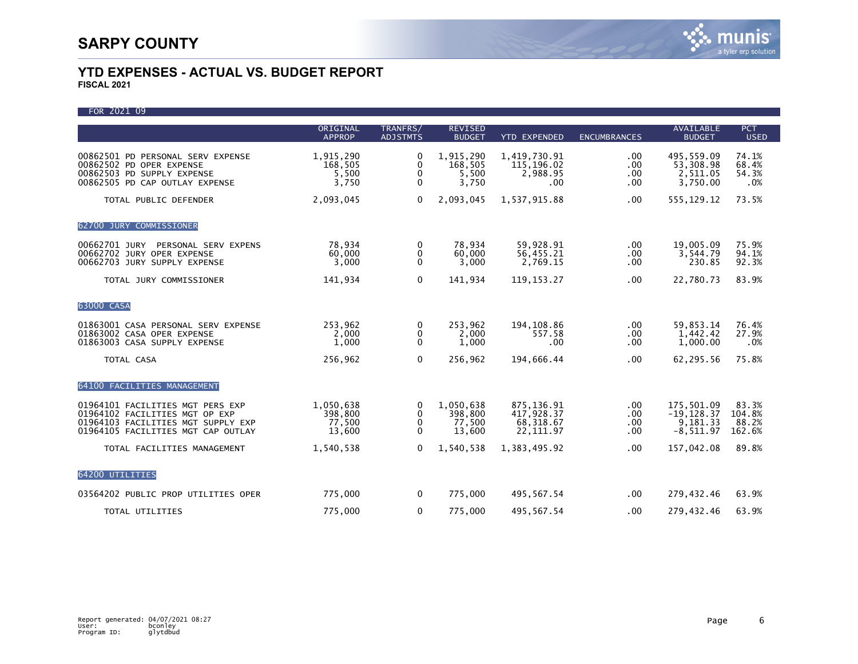| FOR 2021 09 |  |
|-------------|--|
|             |  |

|                                                                                                                                                | ORIGINAL                                 | TRANFRS/                                  | <b>REVISED</b>                           |                                                     |                             | <b>AVAILABLE</b>                                       | <b>PCT</b>                         |
|------------------------------------------------------------------------------------------------------------------------------------------------|------------------------------------------|-------------------------------------------|------------------------------------------|-----------------------------------------------------|-----------------------------|--------------------------------------------------------|------------------------------------|
|                                                                                                                                                | <b>APPROP</b>                            | <b>ADJSTMTS</b>                           | <b>BUDGET</b>                            | <b>YTD EXPENDED</b>                                 | <b>ENCUMBRANCES</b>         | <b>BUDGET</b>                                          | <b>USED</b>                        |
| 00862501 PD PERSONAL SERV EXPENSE<br>00862502 PD OPER EXPENSE<br>00862503 PD SUPPLY EXPENSE<br>00862505 PD CAP OUTLAY EXPENSE                  | 1,915,290<br>168,505<br>5,500<br>3,750   | $\Omega$<br>0<br>0<br>$\mathbf{0}$        | 1,915,290<br>168,505<br>5,500<br>3,750   | 1,419,730.91<br>115,196.02<br>2,988.95<br>.00       | .00.<br>.00<br>.00<br>.00   | 495,559.09<br>53,308.98<br>2,511.05<br>3,750.00        | 74.1%<br>68.4%<br>54.3%<br>.0%     |
| TOTAL PUBLIC DEFENDER                                                                                                                          | 2,093,045                                | $\Omega$                                  | 2,093,045                                | 1,537,915.88                                        | .00                         | 555, 129. 12                                           | 73.5%                              |
| 62700 JURY COMMISSIONER                                                                                                                        |                                          |                                           |                                          |                                                     |                             |                                                        |                                    |
| 00662701 JURY PERSONAL SERV EXPENS<br>00662702 JURY OPER EXPENSE<br>00662703 JURY SUPPLY EXPENSE                                               | 78,934<br>60,000<br>3,000                | 0<br>0<br>$\mathbf{0}$                    | 78,934<br>60,000<br>3,000                | 59,928.91<br>56,455.21<br>2,769.15                  | .00<br>.00<br>.00           | 19,005.09<br>3,544.79<br>230.85                        | 75.9%<br>94.1%<br>92.3%            |
| TOTAL JURY COMMISSIONER                                                                                                                        | 141,934                                  | $\Omega$                                  | 141,934                                  | 119, 153. 27                                        | .00                         | 22,780.73                                              | 83.9%                              |
| 63000 CASA                                                                                                                                     |                                          |                                           |                                          |                                                     |                             |                                                        |                                    |
| 01863001 CASA PERSONAL SERV EXPENSE<br>01863002 CASA OPER EXPENSE<br>01863003 CASA SUPPLY EXPENSE                                              | 253,962<br>2,000<br>1,000                | 0<br>0<br>$\mathbf{0}$                    | 253,962<br>2,000<br>1,000                | 194, 108.86<br>557.58<br>.00                        | .00.<br>.00<br>.00          | 59,853.14<br>1,442.42<br>1,000.00                      | 76.4%<br>27.9%<br>.0%              |
| TOTAL CASA                                                                                                                                     | 256,962                                  | $\Omega$                                  | 256,962                                  | 194,666.44                                          | .00                         | 62,295.56                                              | 75.8%                              |
| 64100 FACILITIES MANAGEMENT                                                                                                                    |                                          |                                           |                                          |                                                     |                             |                                                        |                                    |
| 01964101 FACILITIES MGT PERS EXP<br>01964102 FACILITIES MGT OP EXP<br>01964103 FACILITIES MGT SUPPLY EXP<br>01964105 FACILITIES MGT CAP OUTLAY | 1,050,638<br>398,800<br>77,500<br>13,600 | $\Omega$<br>$\mathbf{0}$<br>0<br>$\Omega$ | 1,050,638<br>398,800<br>77,500<br>13,600 | 875,136.91<br>417,928.37<br>68,318.67<br>22, 111.97 | .00.<br>.00.<br>.00.<br>.00 | 175,501.09<br>$-19, 128.37$<br>9.181.33<br>$-8,511.97$ | 83.3%<br>104.8%<br>88.2%<br>162.6% |
| TOTAL FACILITIES MANAGEMENT                                                                                                                    | 1,540,538                                | $\Omega$                                  | 1.540.538                                | 1.383.495.92                                        | .00                         | 157.042.08                                             | 89.8%                              |
| 64200 UTILITIES                                                                                                                                |                                          |                                           |                                          |                                                     |                             |                                                        |                                    |
| 03564202 PUBLIC PROP UTILITIES OPER                                                                                                            | 775,000                                  | 0                                         | 775,000                                  | 495,567.54                                          | $.00 \,$                    | 279,432.46                                             | 63.9%                              |
| TOTAL UTILITIES                                                                                                                                | 775,000                                  | 0                                         | 775,000                                  | 495,567.54                                          | .00                         | 279,432.46                                             | 63.9%                              |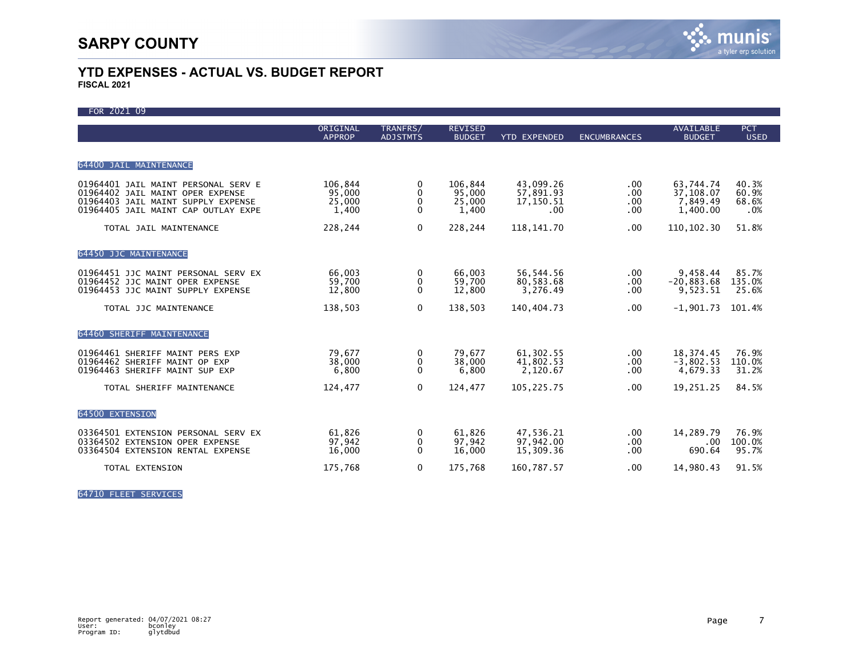| FOR 2021 09                                                                                                                                          |                                      |                                  |                                      |                                            |                           |                                                |                                |
|------------------------------------------------------------------------------------------------------------------------------------------------------|--------------------------------------|----------------------------------|--------------------------------------|--------------------------------------------|---------------------------|------------------------------------------------|--------------------------------|
|                                                                                                                                                      | ORIGINAL<br><b>APPROP</b>            | TRANFRS/<br><b>ADJSTMTS</b>      | <b>REVISED</b><br><b>BUDGET</b>      | <b>YTD EXPENDED</b>                        | <b>ENCUMBRANCES</b>       | <b>AVAILABLE</b><br><b>BUDGET</b>              | <b>PCT</b><br><b>USED</b>      |
| 64400 JAIL MAINTENANCE                                                                                                                               |                                      |                                  |                                      |                                            |                           |                                                |                                |
| 01964401 JAIL MAINT PERSONAL SERV E<br>01964402 JAIL MAINT OPER EXPENSE<br>01964403 JAIL MAINT SUPPLY EXPENSE<br>01964405 JAIL MAINT CAP OUTLAY EXPE | 106,844<br>95,000<br>25,000<br>1,400 | 0<br>0<br>0<br>$\Omega$          | 106.844<br>95,000<br>25,000<br>1,400 | 43.099.26<br>57,891.93<br>17,150.51<br>.00 | .00.<br>.00<br>.00<br>.00 | 63,744.74<br>37,108.07<br>7,849.49<br>1,400.00 | 40.3%<br>60.9%<br>68.6%<br>.0% |
| TOTAL JAIL MAINTENANCE                                                                                                                               | 228,244                              | $\mathbf 0$                      | 228,244                              | 118, 141. 70                               | .00.                      | 110, 102.30                                    | 51.8%                          |
| 64450 JJC MAINTENANCE                                                                                                                                |                                      |                                  |                                      |                                            |                           |                                                |                                |
| 01964451 JJC MAINT PERSONAL SERV EX<br>01964452 JJC MAINT OPER EXPENSE<br>01964453 JJC MAINT SUPPLY EXPENSE                                          | 66.003<br>59,700<br>12,800           | 0<br>0<br>$\Omega$               | 66.003<br>59,700<br>12,800           | 56,544.56<br>80,583.68<br>3,276.49         | .00.<br>.00.<br>.00       | 9,458.44<br>$-20,883.68$<br>9,523.51           | 85.7%<br>135.0%<br>25.6%       |
| TOTAL JJC MAINTENANCE                                                                                                                                | 138,503                              | $\mathbf 0$                      | 138,503                              | 140,404.73                                 | .00.                      | $-1,901.73$                                    | 101.4%                         |
| 64460 SHERIFF MAINTENANCE                                                                                                                            |                                      |                                  |                                      |                                            |                           |                                                |                                |
| 01964461 SHERIFF MAINT PERS EXP<br>01964462 SHERIFF MAINT OP EXP<br>01964463 SHERIFF MAINT SUP EXP                                                   | 79,677<br>38,000<br>6,800            | 0<br>0<br>$\mathbf{0}$           | 79.677<br>38,000<br>6,800            | 61,302.55<br>41,802.53<br>2.120.67         | .00.<br>.00<br>.00        | 18, 374.45<br>$-3.802.53$<br>4.679.33          | 76.9%<br>110.0%<br>31.2%       |
| TOTAL SHERIFF MAINTENANCE                                                                                                                            | 124,477                              | $\Omega$                         | 124,477                              | 105,225.75                                 | .00                       | 19,251.25                                      | 84.5%                          |
| 64500 EXTENSION                                                                                                                                      |                                      |                                  |                                      |                                            |                           |                                                |                                |
| 03364501 EXTENSION PERSONAL SERV EX<br>03364502 EXTENSION OPER EXPENSE<br>03364504 EXTENSION RENTAL EXPENSE                                          | 61,826<br>97,942<br>16,000           | 0<br>$\mathbf{0}$<br>$\mathbf 0$ | 61,826<br>97,942<br>16,000           | 47,536.21<br>97.942.00<br>15,309.36        | .00.<br>.00<br>.00        | 14,289.79<br>.00<br>690.64                     | 76.9%<br>100.0%<br>95.7%       |
| TOTAL EXTENSION                                                                                                                                      | 175,768                              | $\mathbf 0$                      | 175,768                              | 160,787.57                                 | .00                       | 14,980.43                                      | 91.5%                          |

64710 FLEET SERVICES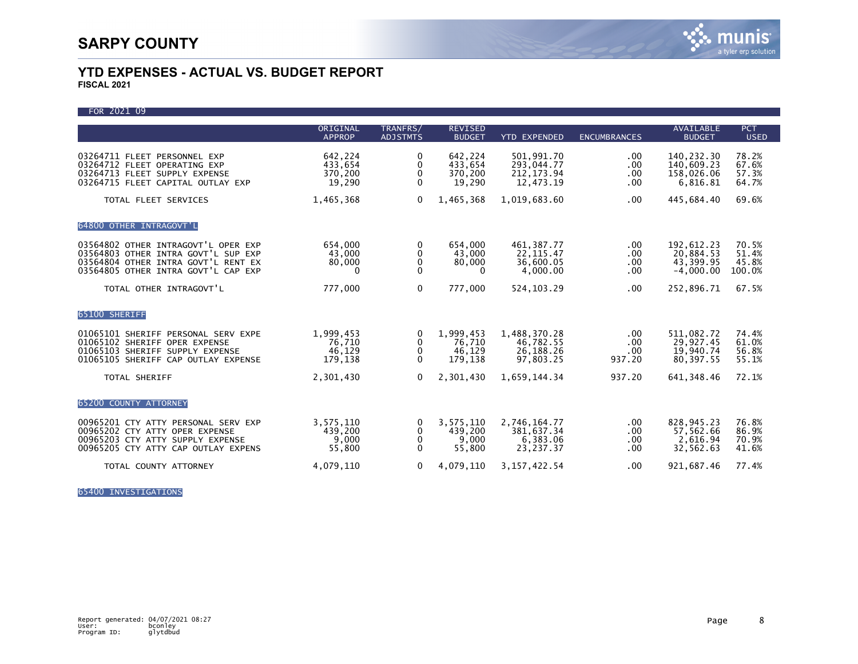FOR 2021 09 ORIGINAL TRANFRS/ REVISED AVAILABLE PCT APPROP ADJSTMTS BUDGET YTD EXPENDED ENCUMBRANCES BUDGET USED 03264711 FLEET PERSONNEL EXP 642,224 0 642,224 501,991.70 .00 140,232.30 78.2%<br>03264712 FLEET OPERATING EXP 433,654 0 433,654 293,044.77 .00 140,609.23 67.6% 03264712 FLEET OPERATING EXP 433,654 0 433,654 293,044.77 .00 140,609.23 67.6%<br>03264713 FLEET SUPPLY EXPENSE 370,200 0 370,200 212,173.94 .00 158,026.06 57.3% 03264713 FLEET SUPPLY EXPENSE 370,200 0 370,200 212,173.94 .00 158,026.06 57.3% 03264715 FLEET CAPITAL OUTLAY EXP TOTAL FLEET SERVICES **1,465,368** 0 1,465,368 1,019,683.60 .00 445,684.40 69.6% 64800 OTHER INTRAGOVT'L 03564802 OTHER INTRAGOVT'L OPER EXP 654,000 0 654,000 461,387.77 .00 192,612.23 70.5%<br>03564803 OTHER INTRA GOVT'L SUP EXP 43.000 0 43.000 22.115.47 .00 20.884.53 51.4% 03564803 OTHER INTRA GOVT'L SUP EXP 43,000 0 43,000 22,115.47 00 20,884.53 51.4%<br>03564804 OTHER INTRA GOVT'L RENT EX 80,000 0 80,000 36,600.05 .00 43,399.95 45.8% 03564804 OTHER INTRA GOVT'L RENT EX 80,000 0 80,000 36,600.05 .00 43,399.95 45.8% 03564805 OTHER INTRA GOVT'L CAP EXP TOTAL OTHER INTRAGOVT'L **1.2.2000 1.2.30 1.2.4.4 PM 524,103.29** 1.00 252,896.71 67.5% 65100 SHERIFF 01065101 SHERIFF PERSONAL SERV EXPE 1,999,453 0 1,999,453 1,488,370.28 .00 511,082.72 74.4% 01065102 SHERIFF OPER EXPENSE 76,710 0 76,710 46,782.55 .00 29,927.45 61.0%<br>01065103 SHERIFF SUPPLY EXPENSE 46,129 0 46,129 01065103 SHERIFF SUPPLY EXPENSE 46,129 0 46,129 26,188.26 .00 19,940.74 56.8% 01065105 SHERIFF CAP OUTLAY EXPENSE TOTAL SHERIFF 2,301,430 0 2,301,430 1,659,144.34 937.20 641,348.46 72.1% 65200 COUNTY ATTORNEY 00965201 CTY ATTY PERSONAL SERV EXP 3,575,110 0 3,575,110 2,746,164.77 00 828,945.23 76.8%<br>00965202 CTY ATTY OPER EXPENSE 439,200 0 439,200 381,637.34 00 57,562.66 86.9% 00965202 CTY ATTY OPER EXPENSE 439,200 0 439,200 381,637.34 .00 57,562.66 86.9% 00965203 CTY ATTY SUPPLY EXPENSE 9,000 0 9,000 6,383.06 00 2,616.94 70.9%<br>00965205 CTY ATTY CAP OUTLAY EXPENS 55.800 0 55.800 23.237.37 00 32.562.63 41.6% 00965205 CTY ATTY CAP OUTLAY EXPENS TOTAL COUNTY ATTORNEY 4,079,110 0 4,079,110 3,157,422.54 .00 921,687.46 77.4%

65400 INVESTIGATIONS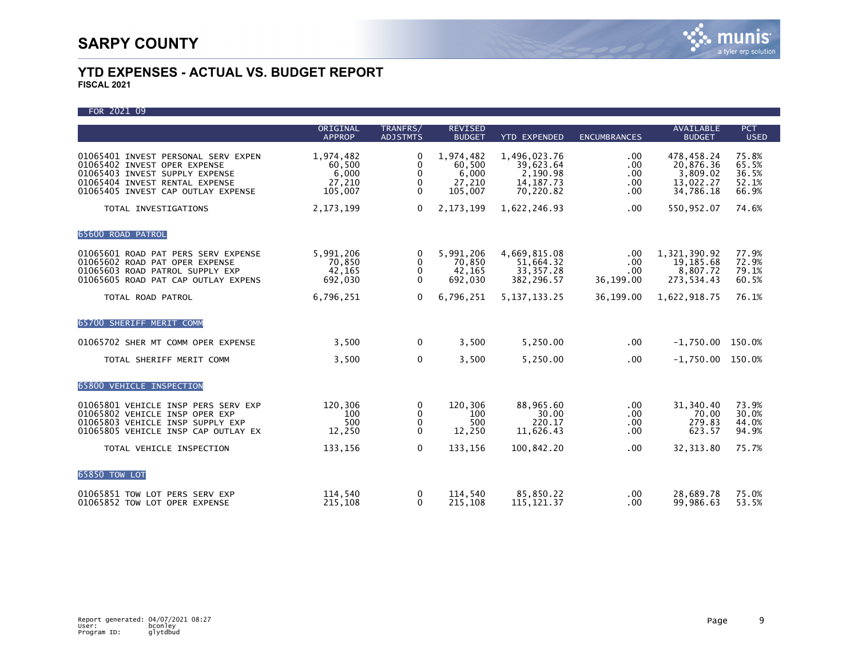FOR 2021 09

|                                                                                                                                                                               | ORIGINAL<br><b>APPROP</b>                         | TRANFRS/<br><b>ADJSTMTS</b>                    | <b>REVISED</b><br><b>BUDGET</b>                   | <b>YTD EXPENDED</b>                                               | <b>ENCUMBRANCES</b>             | <b>AVAILABLE</b><br><b>BUDGET</b>                             | <b>PCT</b><br><b>USED</b>                 |
|-------------------------------------------------------------------------------------------------------------------------------------------------------------------------------|---------------------------------------------------|------------------------------------------------|---------------------------------------------------|-------------------------------------------------------------------|---------------------------------|---------------------------------------------------------------|-------------------------------------------|
| 01065401 INVEST PERSONAL SERV EXPEN<br>01065402 INVEST OPER EXPENSE<br>01065403 INVEST SUPPLY EXPENSE<br>01065404 INVEST RENTAL EXPENSE<br>01065405 INVEST CAP OUTLAY EXPENSE | 1,974,482<br>60,500<br>6,000<br>27,210<br>105,007 | $\Omega$<br>0<br>$\mathbf{0}$<br>0<br>$\Omega$ | 1,974,482<br>60.500<br>6,000<br>27,210<br>105,007 | 1,496,023.76<br>39,623.64<br>2,190.98<br>14, 187. 73<br>70,220.82 | .00<br>.00<br>.00<br>.00<br>.00 | 478,458.24<br>20,876.36<br>3.809.02<br>13,022.27<br>34,786.18 | 75.8%<br>65.5%<br>36.5%<br>52.1%<br>66.9% |
| TOTAL INVESTIGATIONS                                                                                                                                                          | 2, 173, 199                                       | $\Omega$                                       | 2, 173, 199                                       | 1,622,246.93                                                      | $.00 \,$                        | 550,952.07                                                    | 74.6%                                     |
| 65600 ROAD PATROL                                                                                                                                                             |                                                   |                                                |                                                   |                                                                   |                                 |                                                               |                                           |
| 01065601 ROAD PAT PERS SERV EXPENSE<br>01065602 ROAD PAT OPER EXPENSE<br>01065603 ROAD PATROL SUPPLY EXP<br>01065605 ROAD PAT CAP OUTLAY EXPENS                               | 5,991,206<br>70,850<br>42,165<br>692,030          | 0<br>0<br>0<br>$\Omega$                        | 5,991,206<br>70,850<br>42,165<br>692,030          | 4,669,815.08<br>51,664.32<br>33, 357. 28<br>382,296.57            | .00<br>.00<br>.00<br>36,199.00  | 1,321,390.92<br>19,185.68<br>8,807.72<br>273,534.43           | 77.9%<br>72.9%<br>79.1%<br>60.5%          |
| TOTAL ROAD PATROL                                                                                                                                                             | 6,796,251                                         | 0                                              | 6,796,251                                         | 5, 137, 133, 25                                                   | 36,199.00                       | 1,622,918.75                                                  | 76.1%                                     |
| 65700 SHERIFF MERIT COMM                                                                                                                                                      |                                                   |                                                |                                                   |                                                                   |                                 |                                                               |                                           |
| 01065702 SHER MT COMM OPER EXPENSE                                                                                                                                            | 3,500                                             | $\Omega$                                       | 3,500                                             | 5,250.00                                                          | $.00 \,$                        | $-1,750.00$ 150.0%                                            |                                           |
| TOTAL SHERIFF MERIT COMM                                                                                                                                                      | 3,500                                             | 0                                              | 3,500                                             | 5,250.00                                                          | $.00 \,$                        | $-1,750.00$ 150.0%                                            |                                           |
| 65800 VEHICLE INSPECTION                                                                                                                                                      |                                                   |                                                |                                                   |                                                                   |                                 |                                                               |                                           |
| 01065801 VEHICLE INSP PERS SERV EXP<br>01065802 VEHICLE INSP OPER EXP<br>01065803 VEHICLE INSP SUPPLY EXP<br>01065805 VEHICLE INSP CAP OUTLAY EX                              | 120,306<br>100<br>500<br>12,250                   | 0<br>0<br>$\mathbf{0}$<br>0                    | 120,306<br>100<br>500<br>12,250                   | 88,965.60<br>30.00<br>220.17<br>11,626.43                         | .00<br>.00<br>.00<br>.00        | 31,340.40<br>70.00<br>279.83<br>623.57                        | 73.9%<br>30.0%<br>44.0%<br>94.9%          |
| TOTAL VEHICLE INSPECTION                                                                                                                                                      | 133,156                                           | $\mathbf{0}$                                   | 133,156                                           | 100,842.20                                                        | .00                             | 32, 313.80                                                    | 75.7%                                     |
| 65850 TOW LOT                                                                                                                                                                 |                                                   |                                                |                                                   |                                                                   |                                 |                                                               |                                           |
| 01065851 TOW LOT PERS SERV EXP<br>01065852 TOW LOT OPER EXPENSE                                                                                                               | 114,540<br>215,108                                | 0<br>$\mathbf{0}$                              | 114.540<br>215,108                                | 85,850.22<br>115, 121.37                                          | $.00 \,$<br>.00                 | 28,689.78<br>99,986.63                                        | 75.0%<br>53.5%                            |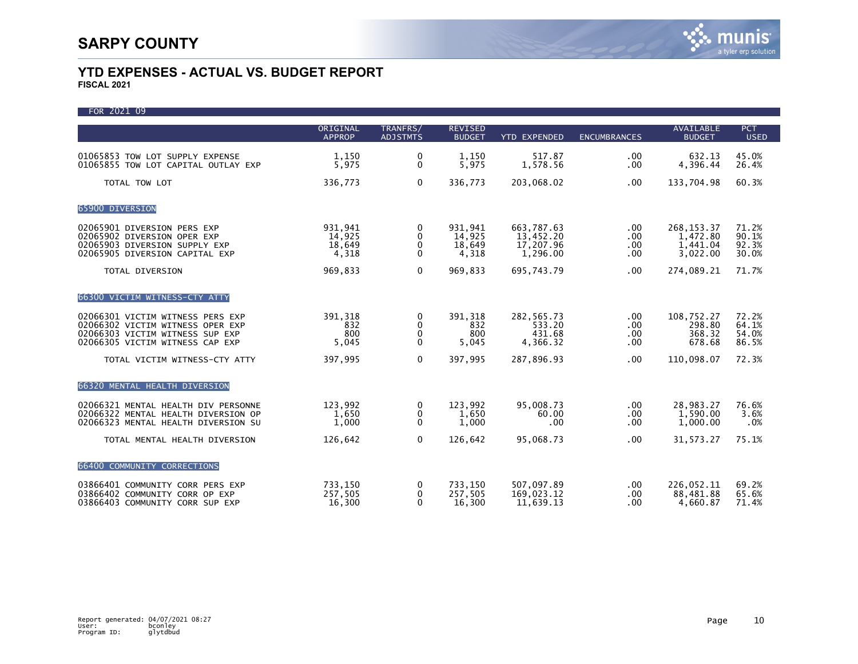FOR 2021 09 ORIGINAL TRANFRS/ REVISED AVAILABLE PCT APPROP ADJSTMTS BUDGET YTD EXPENDED ENCUMBRANCES BUDGET USED 01065853 TOW LOT SUPPLY EXPENSE 1,150 0 1,150 517.87 .00 632.13 45.0% 01065855 TOW LOT CAPITAL OUTLAY EXP TOTAL TOW LOT 336,773 0 336,773 203,068.02 .00 133,704.98 60.3% 65900 DIVERSION 02065901 DIVERSION PERS EXP 931,941 0 931,941 663,787.63 .00 268,153.37 71.2% 02065902 DIVERSION OPER EXP 14,925 0 14,925 13,452.20 .00 1,472.80 90.1% 02065903 DIVERSION SUPPLY EXP 18,649 0 18,649 17,207.96 .00 1,441.04 92.3% 02065905 DIVERSION CAPITAL EXP TOTAL DIVERSION 969,833 0 969,833 695,743.79 .00 274,089.21 71.7% 66300 VICTIM WITNESS-CTY ATTY 02066301 VICTIM WITNESS PERS EXP 391,318 0 391,318 282,565.73 .00 108,752.27 72.2% 02066302 VICTIM WITNESS OPER EXP 832 0 832 533.20 .00 298.80 64.1% 02066303 VICTIM WITNESS SUP EXP 800 0 800 431.68 .00 368.32 54.0% 02066305 VICTIM WITNESS CAP EXP TOTAL VICTIM WITNESS-CTY ATTY **397,995** 0 397,995 287,896.93 .00 110,098.07 72.3% 66320 MENTAL HEALTH DIVERSION 02066321 MENTAL HEALTH DIV PERSONNE 123,992 0 123,992 95,008.73 .00 28,983.27 76.6% 02066322 MENTAL HEALTH DIVERSION OP 1,650 0 1,650 60.00 .00 1,590.00 3.6% 02066323 MENTAL HEALTH DIVERSION SU TOTAL MENTAL HEALTH DIVERSION  $126,642$  0  $126,642$  95,068.73 .00 31,573.27 75.1% 66400 COMMUNITY CORRECTIONS 03866401 COMMUNITY CORR PERS EXP 733,150 0 733,150 507,097.89 00 226,052.11 69.2%<br>03866402 COMMUNITY CORR OP EXP 257,505 0 257,505 169,023.12 00 88,481.88 65.6% 03866402 COMMUNITY CORR OP EXP 257,505 0 257,505 169,023.12 00 88,481.88 65.6%<br>03866403 COMMUNITY CORR SUP EXP 16,300 0 16,300 11,639.13 .00 4,660.87 71.4% 03866403 COMMUNITY CORR SUP EXP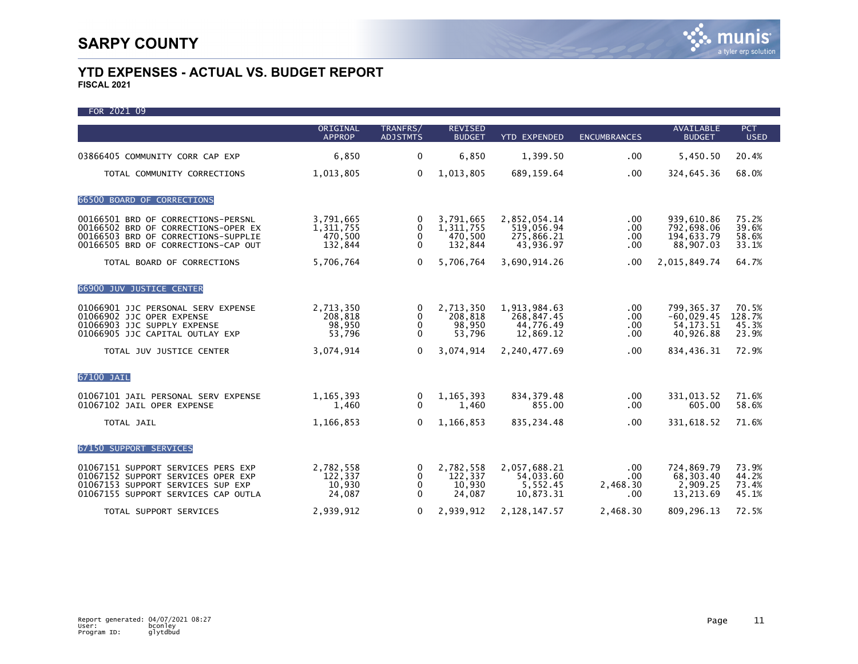| FOR 2021 09                                                                                                                                             |                                              |                                              |                                              |                                                       |                                            |                                                         |                                   |
|---------------------------------------------------------------------------------------------------------------------------------------------------------|----------------------------------------------|----------------------------------------------|----------------------------------------------|-------------------------------------------------------|--------------------------------------------|---------------------------------------------------------|-----------------------------------|
|                                                                                                                                                         | ORIGINAL<br><b>APPROP</b>                    | TRANFRS/<br><b>ADJSTMTS</b>                  | <b>REVISED</b><br><b>BUDGET</b>              | <b>YTD EXPENDED</b>                                   | <b>ENCUMBRANCES</b>                        | <b>AVAILABLE</b><br><b>BUDGET</b>                       | <b>PCT</b><br><b>USED</b>         |
| 03866405 COMMUNITY CORR CAP EXP                                                                                                                         | 6,850                                        | 0                                            | 6,850                                        | 1,399.50                                              | .00                                        | 5,450.50                                                | 20.4%                             |
| TOTAL COMMUNITY CORRECTIONS                                                                                                                             | 1,013,805                                    | $\Omega$                                     | 1,013,805                                    | 689,159.64                                            | .00 <sub>1</sub>                           | 324,645.36                                              | 68.0%                             |
| 66500 BOARD OF CORRECTIONS                                                                                                                              |                                              |                                              |                                              |                                                       |                                            |                                                         |                                   |
| 00166501 BRD OF CORRECTIONS-PERSNL<br>00166502 BRD OF CORRECTIONS-OPER EX<br>00166503 BRD OF CORRECTIONS-SUPPLIE<br>00166505 BRD OF CORRECTIONS-CAP OUT | 3,791,665<br>1,311,755<br>470,500<br>132,844 | $\mathbf{0}$<br>$\mathbf{0}$<br>$\mathbf{0}$ | 3,791,665<br>1,311,755<br>470,500<br>132,844 | 2,852,054.14<br>519.056.94<br>275,866.21<br>43,936.97 | $.00 \,$<br>$.00 \,$<br>.00<br>.00         | 939,610.86<br>792,698.06<br>194,633.79<br>88,907.03     | 75.2%<br>39.6%<br>58.6%<br>33.1%  |
| TOTAL BOARD OF CORRECTIONS                                                                                                                              | 5,706,764                                    | $\Omega$                                     | 5,706,764                                    | 3,690,914.26                                          | .00                                        | 2,015,849.74                                            | 64.7%                             |
| 66900 JUV JUSTICE CENTER                                                                                                                                |                                              |                                              |                                              |                                                       |                                            |                                                         |                                   |
| 01066901 JJC PERSONAL SERV EXPENSE<br>01066902 JJC OPER EXPENSE<br>01066903 JJC SUPPLY EXPENSE<br>01066905 JJC CAPITAL OUTLAY EXP                       | 2,713,350<br>208,818<br>98,950<br>53,796     | $\Omega$<br>0<br>$\Omega$                    | 2,713,350<br>208,818<br>98,950<br>53,796     | 1,913,984.63<br>268,847.45<br>44,776.49<br>12,869.12  | .00 <sub>1</sub><br>$.00 \,$<br>.00<br>.00 | 799, 365.37<br>$-60,029.45$<br>54, 173. 51<br>40,926.88 | 70.5%<br>128.7%<br>45.3%<br>23.9% |
| TOTAL JUV JUSTICE CENTER                                                                                                                                | 3,074,914                                    | 0                                            | 3,074,914                                    | 2,240,477.69                                          | .00                                        | 834,436.31                                              | 72.9%                             |
| 67100 JAIL                                                                                                                                              |                                              |                                              |                                              |                                                       |                                            |                                                         |                                   |
| 01067101 JAIL PERSONAL SERV EXPENSE<br>01067102 JAIL OPER EXPENSE                                                                                       | 1, 165, 393<br>1,460                         | 0<br>$\Omega$                                | 1, 165, 393<br>1,460                         | 834, 379.48<br>855.00                                 | $.00 \,$<br>.00                            | 331,013.52<br>605.00                                    | 71.6%<br>58.6%                    |
| TOTAL JAIL                                                                                                                                              | 1,166,853                                    | $\Omega$                                     | 1,166,853                                    | 835,234.48                                            | .00.                                       | 331,618.52                                              | 71.6%                             |
| 67150 SUPPORT SERVICES                                                                                                                                  |                                              |                                              |                                              |                                                       |                                            |                                                         |                                   |
| 01067151 SUPPORT SERVICES PERS EXP<br>01067152 SUPPORT SERVICES OPER EXP<br>01067153 SUPPORT SERVICES SUP EXP<br>01067155 SUPPORT SERVICES CAP OUTLA    | 2,782,558<br>122,337<br>10,930<br>24,087     | 0<br>0<br>0<br>$\Omega$                      | 2,782,558<br>122,337<br>10,930<br>24,087     | 2,057,688.21<br>54,033.60<br>5,552.45<br>10.873.31    | $.00 \,$<br>.00<br>2.468.30<br>.00         | 724,869.79<br>68,303.40<br>2,909.25<br>13,213.69        | 73.9%<br>44.2%<br>73.4%<br>45.1%  |
| TOTAL SUPPORT SERVICES                                                                                                                                  | 2.939.912                                    | 0                                            | 2.939.912                                    | 2, 128, 147. 57                                       | 2.468.30                                   | 809.296.13                                              | 72.5%                             |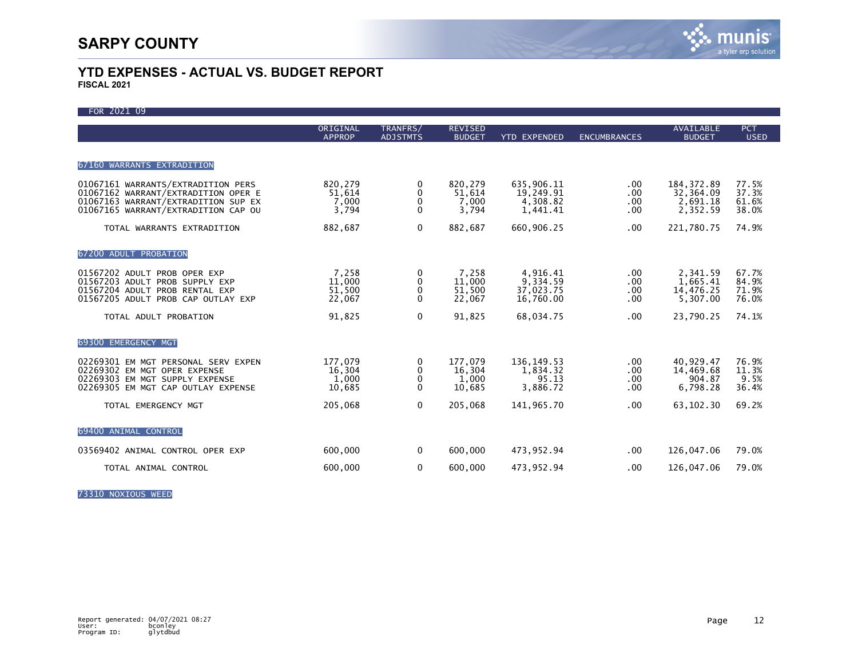| FOR 2021 09                                                                                                                                             |                                      |                             |                                      |                                                 |                                |                                                  |                                  |
|---------------------------------------------------------------------------------------------------------------------------------------------------------|--------------------------------------|-----------------------------|--------------------------------------|-------------------------------------------------|--------------------------------|--------------------------------------------------|----------------------------------|
|                                                                                                                                                         | ORIGINAL<br><b>APPROP</b>            | TRANFRS/<br><b>ADJSTMTS</b> | <b>REVISED</b><br><b>BUDGET</b>      | <b>YTD EXPENDED</b>                             | <b>ENCUMBRANCES</b>            | <b>AVAILABLE</b><br><b>BUDGET</b>                | <b>PCT</b><br><b>USED</b>        |
| 67160 WARRANTS EXTRADITION                                                                                                                              |                                      |                             |                                      |                                                 |                                |                                                  |                                  |
| 01067161 WARRANTS/EXTRADITION PERS<br>01067162 WARRANT/EXTRADITION OPER E<br>01067163 WARRANT/EXTRADITION SUP EX<br>01067165 WARRANT/EXTRADITION CAP OU | 820,279<br>51,614<br>7,000<br>3,794  | 0<br>0<br>0<br>$\mathbf{0}$ | 820,279<br>51,614<br>7,000<br>3,794  | 635,906.11<br>19,249.91<br>4,308.82<br>1,441.41 | .00.<br>.00<br>.00<br>.00      | 184, 372.89<br>32,364.09<br>2,691.18<br>2,352.59 | 77.5%<br>37.3%<br>61.6%<br>38.0% |
| TOTAL WARRANTS EXTRADITION                                                                                                                              | 882,687                              | $\mathbf 0$                 | 882,687                              | 660,906.25                                      | .00.                           | 221,780.75                                       | 74.9%                            |
| 67200 ADULT PROBATION                                                                                                                                   |                                      |                             |                                      |                                                 |                                |                                                  |                                  |
| 01567202 ADULT PROB OPER EXP<br>01567203 ADULT PROB SUPPLY EXP<br>01567204 ADULT PROB RENTAL EXP<br>01567205 ADULT PROB CAP OUTLAY EXP                  | 7,258<br>11,000<br>51,500<br>22,067  | 0<br>0<br>0<br>$\Omega$     | 7,258<br>11,000<br>51,500<br>22,067  | 4,916.41<br>9,334.59<br>37,023.75<br>16,760.00  | $.00 \,$<br>.00.<br>.00<br>.00 | 2,341.59<br>1,665.41<br>14,476.25<br>5,307.00    | 67.7%<br>84.9%<br>71.9%<br>76.0% |
| TOTAL ADULT PROBATION                                                                                                                                   | 91,825                               | $\mathbf 0$                 | 91,825                               | 68,034.75                                       | .00                            | 23,790.25                                        | 74.1%                            |
| 69300 EMERGENCY MGT                                                                                                                                     |                                      |                             |                                      |                                                 |                                |                                                  |                                  |
| 02269301 EM MGT PERSONAL SERV EXPEN<br>02269302 EM MGT OPER EXPENSE<br>02269303 EM MGT SUPPLY EXPENSE<br>02269305 EM MGT CAP OUTLAY EXPENSE             | 177,079<br>16,304<br>1,000<br>10,685 | 0<br>0<br>0<br>$\Omega$     | 177.079<br>16,304<br>1,000<br>10,685 | 136.149.53<br>1,834.32<br>95.13<br>3,886.72     | $.00 \,$<br>.00<br>.00<br>.00  | 40,929.47<br>14,469.68<br>904.87<br>6,798.28     | 76.9%<br>11.3%<br>9.5%<br>36.4%  |
| TOTAL EMERGENCY MGT                                                                                                                                     | 205,068                              | $\mathbf{0}$                | 205,068                              | 141.965.70                                      | .00                            | 63,102.30                                        | 69.2%                            |
| 69400 ANIMAL CONTROL                                                                                                                                    |                                      |                             |                                      |                                                 |                                |                                                  |                                  |
| 03569402 ANIMAL CONTROL OPER EXP                                                                                                                        | 600,000                              | 0                           | 600,000                              | 473,952.94                                      | $.00 \,$                       | 126,047.06                                       | 79.0%                            |
| TOTAL ANIMAL CONTROL                                                                                                                                    | 600,000                              | $\mathbf 0$                 | 600,000                              | 473,952.94                                      | .00                            | 126,047.06                                       | 79.0%                            |

73310 NOXIOUS WEED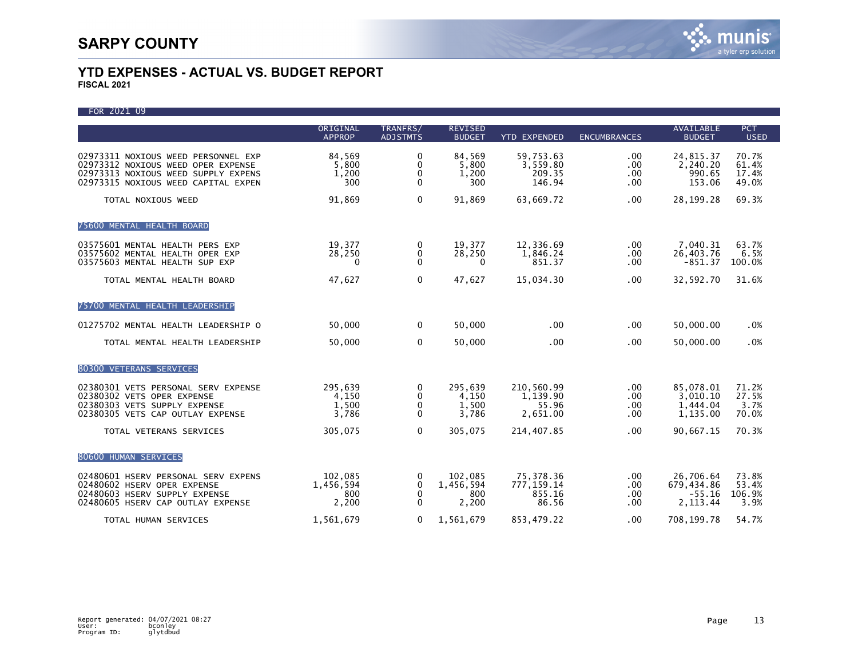| FOR 2021 09                                                                                                                                             |                                      |                                           |                                      |                                             |                                 |                                                  |                                  |
|---------------------------------------------------------------------------------------------------------------------------------------------------------|--------------------------------------|-------------------------------------------|--------------------------------------|---------------------------------------------|---------------------------------|--------------------------------------------------|----------------------------------|
|                                                                                                                                                         | ORIGINAL<br><b>APPROP</b>            | TRANFRS/<br><b>ADJSTMTS</b>               | <b>REVISED</b><br><b>BUDGET</b>      | <b>YTD EXPENDED</b>                         | <b>ENCUMBRANCES</b>             | <b>AVAILABLE</b><br><b>BUDGET</b>                | <b>PCT</b><br><b>USED</b>        |
| 02973311 NOXIOUS WEED PERSONNEL EXP<br>02973312 NOXIOUS WEED OPER EXPENSE<br>02973313 NOXIOUS WEED SUPPLY EXPENS<br>02973315 NOXIOUS WEED CAPITAL EXPEN | 84,569<br>5,800<br>1,200<br>300      | 0<br>$\Omega$<br>0<br>0                   | 84,569<br>5,800<br>1,200<br>300      | 59,753.63<br>3,559.80<br>209.35<br>146.94   | $.00 \,$<br>.00.<br>.00.<br>.00 | 24,815.37<br>2,240.20<br>990.65<br>153.06        | 70.7%<br>61.4%<br>17.4%<br>49.0% |
| TOTAL NOXIOUS WEED                                                                                                                                      | 91,869                               | $\mathbf 0$                               | 91,869                               | 63,669.72                                   | .00                             | 28, 199. 28                                      | 69.3%                            |
| 75600 MENTAL HEALTH BOARD                                                                                                                               |                                      |                                           |                                      |                                             |                                 |                                                  |                                  |
| 03575601 MENTAL HEALTH PERS EXP<br>03575602 MENTAL HEALTH OPER EXP<br>03575603 MENTAL HEALTH SUP EXP                                                    | 19,377<br>28,250<br>0                | 0<br>$\mathbf{0}$<br>$\mathbf 0$          | 19,377<br>28,250<br>0                | 12,336.69<br>1,846.24<br>851.37             | $.00 \,$<br>$.00 \,$<br>.00     | 7,040.31<br>26,403.76<br>$-851.37$               | 63.7%<br>6.5%<br>100.0%          |
| TOTAL MENTAL HEALTH BOARD                                                                                                                               | 47,627                               | $\mathbf 0$                               | 47,627                               | 15,034.30                                   | .00                             | 32,592.70                                        | 31.6%                            |
| 75700 MENTAL HEALTH LEADERSHIP                                                                                                                          |                                      |                                           |                                      |                                             |                                 |                                                  |                                  |
| 01275702 MENTAL HEALTH LEADERSHIP O                                                                                                                     | 50,000                               | $\mathbf 0$                               | 50,000                               | .00                                         | .00                             | 50,000.00                                        | .0%                              |
| TOTAL MENTAL HEALTH LEADERSHIP                                                                                                                          | 50,000                               | $\Omega$                                  | 50,000                               | .00                                         | .00                             | 50,000.00                                        | .0%                              |
| 80300 VETERANS SERVICES                                                                                                                                 |                                      |                                           |                                      |                                             |                                 |                                                  |                                  |
| 02380301 VETS PERSONAL SERV EXPENSE<br>02380302 VETS OPER EXPENSE<br>02380303 VETS SUPPLY EXPENSE<br>02380305 VETS CAP OUTLAY EXPENSE                   | 295,639<br>4,150<br>1,500<br>3,786   | 0<br>0<br>$\mathbf{0}$<br>0               | 295,639<br>4,150<br>1,500<br>3,786   | 210,560.99<br>1,139.90<br>55.96<br>2,651.00 | $.00 \,$<br>.00<br>.00.<br>.00. | 85,078.01<br>3,010.10<br>1,444.04<br>1,135.00    | 71.2%<br>27.5%<br>3.7%<br>70.0%  |
| TOTAL VETERANS SERVICES                                                                                                                                 | 305,075                              | $\mathbf 0$                               | 305,075                              | 214,407.85                                  | .00.                            | 90,667.15                                        | 70.3%                            |
| 80600 HUMAN SERVICES                                                                                                                                    |                                      |                                           |                                      |                                             |                                 |                                                  |                                  |
| 02480601 HSERV PERSONAL SERV EXPENS<br>02480602 HSERV OPER EXPENSE<br>02480603 HSERV SUPPLY EXPENSE<br>02480605 HSERV CAP OUTLAY EXPENSE                | 102,085<br>1,456,594<br>800<br>2,200 | 0<br>$\Omega$<br>$\Omega$<br>$\mathbf{0}$ | 102,085<br>1,456,594<br>800<br>2,200 | 75,378.36<br>777, 159.14<br>855.16<br>86.56 | $.00 \,$<br>.00<br>.00<br>.00.  | 26,706.64<br>679,434.86<br>$-55.16$<br>2, 113.44 | 73.8%<br>53.4%<br>106.9%<br>3.9% |
| TOTAL HUMAN SERVICES                                                                                                                                    | 1.561.679                            | $\mathbf{0}$                              | 1,561,679                            | 853,479.22                                  | .00                             | 708,199.78                                       | 54.7%                            |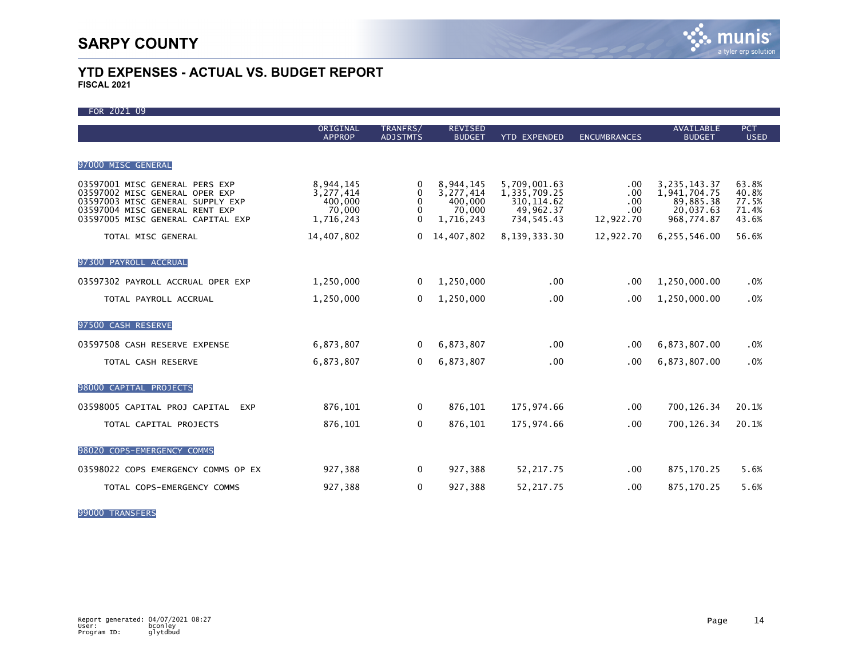| FOR 2021 09                                                                                                                                                                 |                                                          |                                            |                                                          |                                                                        |                                       |                                                                         |                                           |
|-----------------------------------------------------------------------------------------------------------------------------------------------------------------------------|----------------------------------------------------------|--------------------------------------------|----------------------------------------------------------|------------------------------------------------------------------------|---------------------------------------|-------------------------------------------------------------------------|-------------------------------------------|
|                                                                                                                                                                             | ORIGINAL<br><b>APPROP</b>                                | TRANFRS/<br><b>ADJSTMTS</b>                | <b>REVISED</b><br><b>BUDGET</b>                          | <b>YTD EXPENDED</b>                                                    | <b>ENCUMBRANCES</b>                   | <b>AVAILABLE</b><br><b>BUDGET</b>                                       | <b>PCT</b><br><b>USED</b>                 |
|                                                                                                                                                                             |                                                          |                                            |                                                          |                                                                        |                                       |                                                                         |                                           |
| 97000 MISC GENERAL                                                                                                                                                          |                                                          |                                            |                                                          |                                                                        |                                       |                                                                         |                                           |
| 03597001 MISC GENERAL PERS EXP<br>03597002 MISC GENERAL OPER EXP<br>03597003 MISC GENERAL SUPPLY EXP<br>03597004 MISC GENERAL RENT EXP<br>03597005 MISC GENERAL CAPITAL EXP | 8,944,145<br>3,277,414<br>400,000<br>70,000<br>1,716,243 | 0<br>$\Omega$<br>$\Omega$<br>0<br>$\Omega$ | 8,944,145<br>3,277,414<br>400,000<br>70,000<br>1,716,243 | 5,709,001.63<br>1,335,709.25<br>310, 114.62<br>49,962.37<br>734,545.43 | .00<br>.00<br>.00<br>.00<br>12,922.70 | 3, 235, 143. 37<br>1,941,704.75<br>89,885.38<br>20,037.63<br>968,774.87 | 63.8%<br>40.8%<br>77.5%<br>71.4%<br>43.6% |
| TOTAL MISC GENERAL                                                                                                                                                          | 14,407,802                                               | 0                                          | 14,407,802                                               | 8,139,333.30                                                           | 12,922.70                             | 6,255,546.00                                                            | 56.6%                                     |
| 97300 PAYROLL ACCRUAL                                                                                                                                                       |                                                          |                                            |                                                          |                                                                        |                                       |                                                                         |                                           |
| 03597302 PAYROLL ACCRUAL OPER EXP                                                                                                                                           | 1,250,000                                                | 0                                          | 1,250,000                                                | .00                                                                    | .00                                   | 1,250,000.00                                                            | .0%                                       |
| TOTAL PAYROLL ACCRUAL                                                                                                                                                       | 1,250,000                                                | $\Omega$                                   | 1,250,000                                                | $.00 \times$                                                           | .00                                   | 1,250,000.00                                                            | .0%                                       |
| 97500 CASH RESERVE                                                                                                                                                          |                                                          |                                            |                                                          |                                                                        |                                       |                                                                         |                                           |
| 03597508 CASH RESERVE EXPENSE                                                                                                                                               | 6,873,807                                                | 0                                          | 6,873,807                                                | .00                                                                    | .00                                   | 6,873,807.00                                                            | .0%                                       |
| TOTAL CASH RESERVE                                                                                                                                                          | 6,873,807                                                | $\Omega$                                   | 6,873,807                                                | .00                                                                    | $.00 \,$                              | 6,873,807.00                                                            | .0%                                       |
| 98000 CAPITAL PROJECTS                                                                                                                                                      |                                                          |                                            |                                                          |                                                                        |                                       |                                                                         |                                           |
| 03598005 CAPITAL PROJ CAPITAL<br><b>EXP</b>                                                                                                                                 | 876,101                                                  | 0                                          | 876,101                                                  | 175,974.66                                                             | .00                                   | 700, 126.34                                                             | 20.1%                                     |
| TOTAL CAPITAL PROJECTS                                                                                                                                                      | 876,101                                                  | 0                                          | 876,101                                                  | 175,974.66                                                             | $.00 \,$                              | 700, 126.34                                                             | 20.1%                                     |
| 98020 COPS-EMERGENCY COMMS                                                                                                                                                  |                                                          |                                            |                                                          |                                                                        |                                       |                                                                         |                                           |
| 03598022 COPS EMERGENCY COMMS OP EX                                                                                                                                         | 927,388                                                  | 0                                          | 927,388                                                  | 52,217.75                                                              | $.00 \,$                              | 875, 170.25                                                             | 5.6%                                      |
| TOTAL COPS-EMERGENCY COMMS                                                                                                                                                  | 927,388                                                  | 0                                          | 927,388                                                  | 52, 217.75                                                             | .00                                   | 875, 170.25                                                             | 5.6%                                      |

99000 TRANSFERS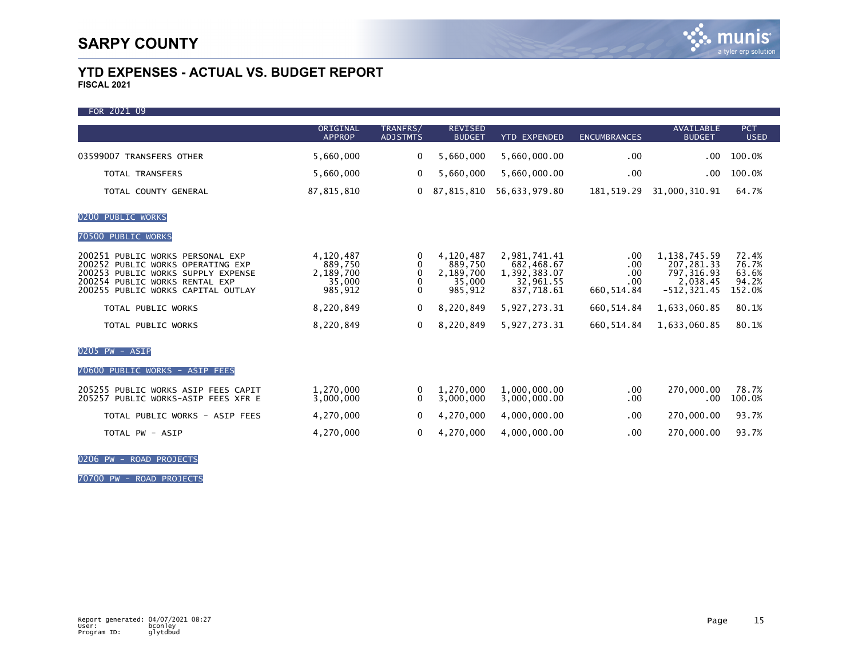ī

### **YTD EXPENSES - ACTUAL VS. BUDGET REPORT FISCAL 2021**

| FOR 2021 09                                                                                                                                                                         |                                                        |                             |                                                        |                                                                       |                                         |                                                                            |                                            |
|-------------------------------------------------------------------------------------------------------------------------------------------------------------------------------------|--------------------------------------------------------|-----------------------------|--------------------------------------------------------|-----------------------------------------------------------------------|-----------------------------------------|----------------------------------------------------------------------------|--------------------------------------------|
|                                                                                                                                                                                     | ORIGINAL<br><b>APPROP</b>                              | TRANFRS/<br><b>ADJSTMTS</b> | <b>REVISED</b><br><b>BUDGET</b>                        | <b>YTD EXPENDED</b>                                                   | <b>ENCUMBRANCES</b>                     | <b>AVAILABLE</b><br><b>BUDGET</b>                                          | <b>PCT</b><br><b>USED</b>                  |
| 03599007 TRANSFERS OTHER                                                                                                                                                            | 5,660,000                                              | $\Omega$                    | 5,660,000                                              | 5,660,000.00                                                          | .00                                     | $.00 \,$                                                                   | 100.0%                                     |
| <b>TOTAL TRANSFERS</b>                                                                                                                                                              | 5,660,000                                              | $\Omega$                    | 5,660,000                                              | 5,660,000.00                                                          | .00                                     | .00                                                                        | 100.0%                                     |
| TOTAL COUNTY GENERAL                                                                                                                                                                | 87, 815, 810                                           | $\mathbf{0}$                | 87,815,810                                             | 56,633,979.80                                                         | 181, 519.29                             | 31,000,310.91                                                              | 64.7%                                      |
| 0200 PUBLIC WORKS                                                                                                                                                                   |                                                        |                             |                                                        |                                                                       |                                         |                                                                            |                                            |
| 70500 PUBLIC WORKS                                                                                                                                                                  |                                                        |                             |                                                        |                                                                       |                                         |                                                                            |                                            |
| 200251 PUBLIC WORKS PERSONAL EXP<br>200252 PUBLIC WORKS OPERATING EXP<br>200253 PUBLIC WORKS SUPPLY EXPENSE<br>200254 PUBLIC WORKS RENTAL EXP<br>200255 PUBLIC WORKS CAPITAL OUTLAY | 4,120,487<br>889,750<br>2,189,700<br>35,000<br>985,912 | 0<br>$\Omega$<br>$\Omega$   | 4,120,487<br>889,750<br>2,189,700<br>35.000<br>985,912 | 2.981,741.41<br>682,468.67<br>1,392,383.07<br>32,961.55<br>837,718.61 | .00<br>.00<br>.00<br>.00<br>660, 514.84 | 1, 138, 745.59<br>207, 281.33<br>797, 316.93<br>2,038.45<br>$-512, 321.45$ | 72.4%<br>76.7%<br>63.6%<br>94.2%<br>152.0% |
| TOTAL PUBLIC WORKS                                                                                                                                                                  | 8,220,849                                              | 0                           | 8,220,849                                              | 5,927,273.31                                                          | 660, 514.84                             | 1,633,060.85                                                               | 80.1%                                      |
| TOTAL PUBLIC WORKS                                                                                                                                                                  | 8,220,849                                              | $\Omega$                    | 8,220,849                                              | 5,927,273.31                                                          | 660, 514.84                             | 1,633,060.85                                                               | 80.1%                                      |
| $0205$ PW - ASIP                                                                                                                                                                    |                                                        |                             |                                                        |                                                                       |                                         |                                                                            |                                            |
| 70600 PUBLIC WORKS - ASIP FEES                                                                                                                                                      |                                                        |                             |                                                        |                                                                       |                                         |                                                                            |                                            |
| 205255 PUBLIC WORKS ASIP FEES CAPIT<br>205257 PUBLIC WORKS-ASIP FEES XFR E                                                                                                          | 1.270.000<br>3,000,000                                 | 0<br>$\Omega$               | 1.270.000<br>3,000,000                                 | 1.000.000.00<br>3,000,000.00                                          | .00<br>.00                              | 270,000.00<br>.00                                                          | 78.7%<br>100.0%                            |
| TOTAL PUBLIC WORKS - ASIP FEES                                                                                                                                                      | 4,270,000                                              | $\Omega$                    | 4,270,000                                              | 4,000,000.00                                                          | .00                                     | 270,000.00                                                                 | 93.7%                                      |
| TOTAL PW - ASIP                                                                                                                                                                     | 4,270,000                                              | $\Omega$                    | 4,270,000                                              | 4,000,000.00                                                          | .00                                     | 270,000.00                                                                 | 93.7%                                      |

0206 PW - ROAD PROJECTS

70700 PW - ROAD PROJECTS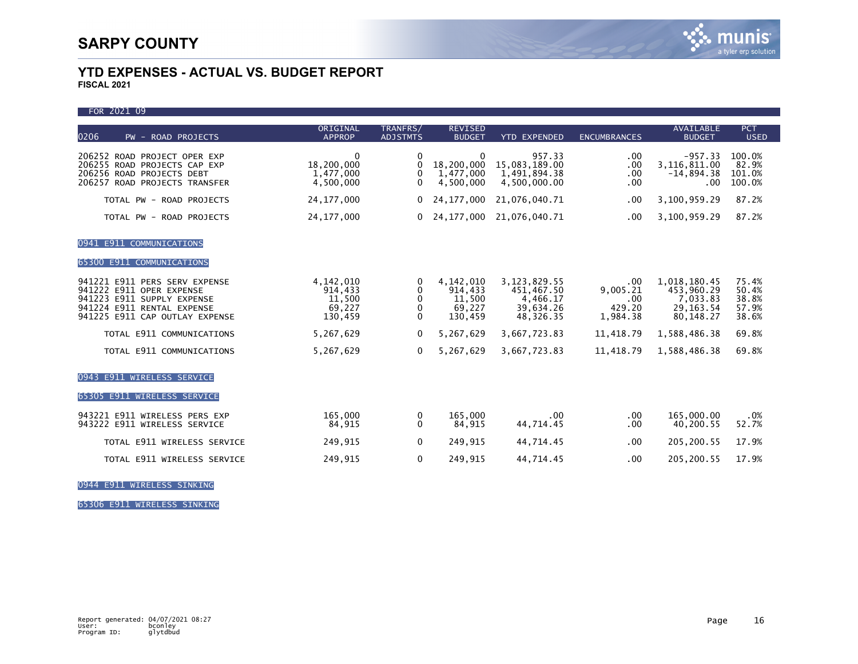FOR 2021 09

| 0206<br>PW - ROAD PROJECTS                                                                                                                              | ORIGINAL<br><b>APPROP</b>                             | TRANFRS/<br><b>ADJSTMTS</b>  | <b>REVISED</b><br><b>BUDGET</b>                       | <b>YTD EXPENDED</b>                                                | <b>ENCUMBRANCES</b>                          | <b>AVAILABLE</b><br><b>BUDGET</b>                                  | <b>PCT</b><br><b>USED</b>                 |
|---------------------------------------------------------------------------------------------------------------------------------------------------------|-------------------------------------------------------|------------------------------|-------------------------------------------------------|--------------------------------------------------------------------|----------------------------------------------|--------------------------------------------------------------------|-------------------------------------------|
| 206252 ROAD PROJECT OPER EXP<br>206255 ROAD PROJECTS CAP EXP<br>206256 ROAD PROJECTS DEBT<br>206257 ROAD PROJECTS TRANSFER                              | $\mathbf{0}$<br>18,200,000<br>1,477,000<br>4,500,000  | $\mathbf{0}$<br>0<br>0<br>0  | $\mathbf{0}$<br>18,200,000<br>1,477,000<br>4.500.000  | 957.33<br>15,083,189.00<br>1,491,894.38<br>4,500,000.00            | .00<br>.00<br>.00<br>.00                     | $-957.33$<br>3,116,811.00<br>$-14,894.38$<br>.00                   | 100.0%<br>82.9%<br>101.0%<br>100.0%       |
| TOTAL PW - ROAD PROJECTS                                                                                                                                | 24, 177, 000                                          | 0                            | 24, 177, 000                                          | 21,076,040.71                                                      | .00                                          | 3,100,959.29                                                       | 87.2%                                     |
| TOTAL PW - ROAD PROJECTS                                                                                                                                | 24, 177, 000                                          | $\Omega$                     | 24, 177, 000                                          | 21,076,040.71                                                      | .00                                          | 3,100,959.29                                                       | 87.2%                                     |
| <b>E911 COMMUNICATIONS</b><br>0941<br>65300 E911 COMMUNICATIONS                                                                                         |                                                       |                              |                                                       |                                                                    |                                              |                                                                    |                                           |
| 941221 E911 PERS SERV EXPENSE<br>941222 E911 OPER EXPENSE<br>941223 E911 SUPPLY EXPENSE<br>941224 E911 RENTAL EXPENSE<br>941225 E911 CAP OUTLAY EXPENSE | 4, 142, 010<br>914,433<br>11,500<br>69,227<br>130,459 | 0<br>0<br>0<br>0<br>$\Omega$ | 4, 142, 010<br>914,433<br>11,500<br>69,227<br>130,459 | 3, 123, 829.55<br>451,467.50<br>4,466.17<br>39,634.26<br>48,326.35 | .00<br>9,005.21<br>.00<br>429.20<br>1,984.38 | 1,018,180.45<br>453,960.29<br>7,033.83<br>29.163.54<br>80, 148. 27 | 75.4%<br>50.4%<br>38.8%<br>57.9%<br>38.6% |
| TOTAL E911 COMMUNICATIONS                                                                                                                               | 5,267,629                                             | 0                            | 5,267,629                                             | 3,667,723.83                                                       | 11,418.79                                    | 1,588,486.38                                                       | 69.8%                                     |
| TOTAL E911 COMMUNICATIONS                                                                                                                               | 5,267,629                                             | 0                            | 5,267,629                                             | 3,667,723.83                                                       | 11,418.79                                    | 1,588,486.38                                                       | 69.8%                                     |
| <b>E911 WIRELESS SERVICE</b><br>0943<br>WIRELESS SERVICE<br>E911<br>65305                                                                               |                                                       |                              |                                                       |                                                                    |                                              |                                                                    |                                           |
| 943221 E911 WIRELESS PERS EXP<br>943222 E911 WIRELESS SERVICE                                                                                           | 165,000<br>84,915                                     | 0<br>0                       | 165,000<br>84,915                                     | .00<br>44,714.45                                                   | .00<br>.00                                   | 165,000.00<br>40,200.55                                            | .0%<br>52.7%                              |
| TOTAL E911 WIRELESS SERVICE                                                                                                                             | 249,915                                               | 0                            | 249,915                                               | 44,714.45                                                          | .00                                          | 205,200.55                                                         | 17.9%                                     |
| TOTAL E911 WIRELESS SERVICE                                                                                                                             | 249,915                                               | $\mathbf{0}$                 | 249,915                                               | 44,714.45                                                          | .00                                          | 205, 200.55                                                        | 17.9%                                     |

0944 E911 WIRELESS SINKING

65306 E911 WIRELESS SINKING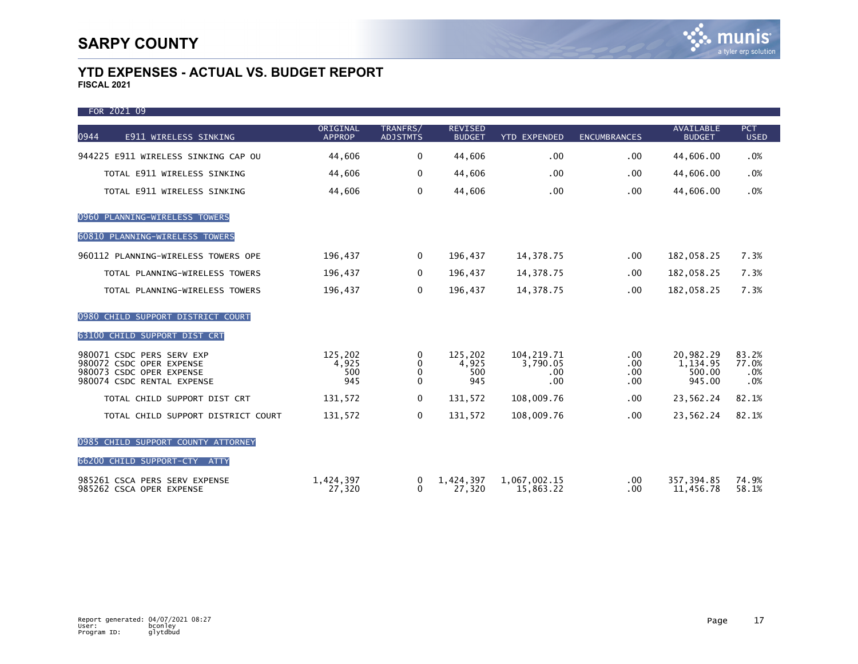| FOR 2021 09                                               |                           |                             |                                 |                           |                     |                                   |                           |
|-----------------------------------------------------------|---------------------------|-----------------------------|---------------------------------|---------------------------|---------------------|-----------------------------------|---------------------------|
| 0944<br>E911 WIRELESS SINKING                             | ORIGINAL<br><b>APPROP</b> | TRANFRS/<br><b>ADJSTMTS</b> | <b>REVISED</b><br><b>BUDGET</b> | <b>YTD EXPENDED</b>       | <b>ENCUMBRANCES</b> | <b>AVAILABLE</b><br><b>BUDGET</b> | <b>PCT</b><br><b>USED</b> |
| 944225 E911 WIRELESS SINKING CAP OU                       | 44,606                    | $\Omega$                    | 44,606                          | .00                       | .00                 | 44,606.00                         | .0%                       |
| TOTAL E911 WIRELESS SINKING                               | 44,606                    | $\mathbf 0$                 | 44,606                          | .00                       | .00.                | 44,606.00                         | .0%                       |
| TOTAL E911 WIRELESS SINKING                               | 44,606                    | $\Omega$                    | 44,606                          | .00                       | .00                 | 44,606.00                         | .0%                       |
| 0960 PLANNING-WIRELESS TOWERS                             |                           |                             |                                 |                           |                     |                                   |                           |
| 60810 PLANNING-WIRELESS TOWERS                            |                           |                             |                                 |                           |                     |                                   |                           |
| 960112 PLANNING-WIRELESS TOWERS OPE                       | 196,437                   | 0                           | 196,437                         | 14,378.75                 | $.00 \,$            | 182,058.25                        | 7.3%                      |
| TOTAL PLANNING-WIRELESS TOWERS                            | 196,437                   | 0                           | 196,437                         | 14,378.75                 | .00                 | 182,058.25                        | 7.3%                      |
| TOTAL PLANNING-WIRELESS TOWERS                            | 196,437                   | $\Omega$                    | 196,437                         | 14,378.75                 | .00.                | 182,058.25                        | 7.3%                      |
| 0980 CHILD SUPPORT DISTRICT COURT                         |                           |                             |                                 |                           |                     |                                   |                           |
| 63100 CHILD SUPPORT DIST CRT                              |                           |                             |                                 |                           |                     |                                   |                           |
| 980071 CSDC PERS SERV EXP<br>980072 CSDC OPER EXPENSE     | 125,202                   | 0<br>0                      | 125.202<br>4,925                | 104, 219.71<br>3,790.05   | .00<br>.00          | 20,982.29<br>1,134.95             | 83.2%<br>77.0%            |
| 980073 CSDC OPER EXPENSE                                  | 4,925<br>500<br>945       | 0<br>$\Omega$               | 500<br>945                      | .00<br>.00                | $.00 \,$            | 500.00                            | .0%                       |
| 980074 CSDC RENTAL EXPENSE                                |                           |                             |                                 |                           | .00                 | 945.00                            | .0%                       |
| TOTAL CHILD SUPPORT DIST CRT                              | 131,572                   | 0                           | 131,572                         | 108,009.76                | .00                 | 23,562.24                         | 82.1%                     |
| TOTAL CHILD SUPPORT DISTRICT COURT                        | 131,572                   | 0                           | 131,572                         | 108,009.76                | .00.                | 23,562.24                         | 82.1%                     |
| 0985 CHILD SUPPORT COUNTY ATTORNEY                        |                           |                             |                                 |                           |                     |                                   |                           |
| 66200 CHILD SUPPORT-CTY ATTY                              |                           |                             |                                 |                           |                     |                                   |                           |
| 985261 CSCA PERS SERV EXPENSE<br>985262 CSCA OPER EXPENSE | 1,424,397<br>27,320       | 0<br>$\Omega$               | 1,424,397<br>27,320             | 1,067,002.15<br>15,863.22 | $.00 \,$<br>.00     | 357, 394.85<br>11,456.78          | 74.9%<br>58.1%            |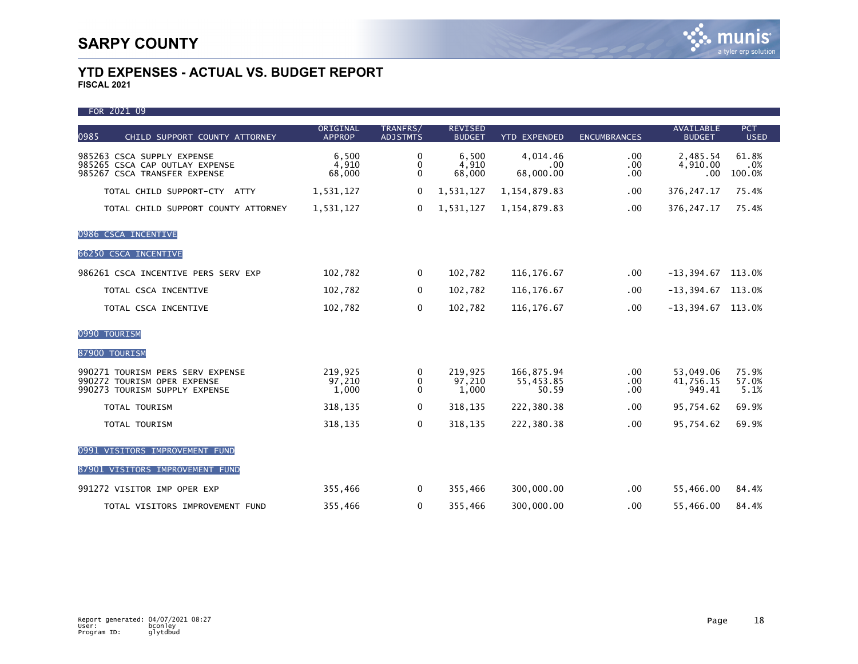| FOR 2021 09                                                                                      |                            |                              |                                 |                                  |                                  |                                   |                           |
|--------------------------------------------------------------------------------------------------|----------------------------|------------------------------|---------------------------------|----------------------------------|----------------------------------|-----------------------------------|---------------------------|
| 0985<br>CHILD SUPPORT COUNTY ATTORNEY                                                            | ORIGINAL<br><b>APPROP</b>  | TRANFRS/<br><b>ADJSTMTS</b>  | <b>REVISED</b><br><b>BUDGET</b> | <b>YTD EXPENDED</b>              | <b>ENCUMBRANCES</b>              | <b>AVAILABLE</b><br><b>BUDGET</b> | <b>PCT</b><br><b>USED</b> |
| 985263 CSCA SUPPLY EXPENSE<br>985265 CSCA CAP OUTLAY EXPENSE<br>985267 CSCA TRANSFER EXPENSE     | 6,500<br>4,910<br>68,000   | 0<br>$\mathbf 0$<br>$\Omega$ | 6,500<br>4,910<br>68,000        | 4,014.46<br>.00<br>68,000.00     | $.00 \,$<br>$.00 \,$<br>.00      | 2,485.54<br>4,910.00<br>.00       | 61.8%<br>.0%<br>100.0%    |
| TOTAL CHILD SUPPORT-CTY ATTY                                                                     | 1,531,127                  | 0                            | 1,531,127                       | 1, 154, 879.83                   | .00                              | 376, 247. 17                      | 75.4%                     |
| TOTAL CHILD SUPPORT COUNTY ATTORNEY                                                              | 1,531,127                  | $\mathbf{0}$                 | 1,531,127                       | 1, 154, 879.83                   | $.00 \,$                         | 376, 247. 17                      | 75.4%                     |
| 0986 CSCA INCENTIVE                                                                              |                            |                              |                                 |                                  |                                  |                                   |                           |
| 66250 CSCA INCENTIVE                                                                             |                            |                              |                                 |                                  |                                  |                                   |                           |
| 986261 CSCA INCENTIVE PERS SERV EXP                                                              | 102,782                    | 0                            | 102,782                         | 116, 176.67                      | .00.                             | $-13,394.67$ 113.0%               |                           |
| TOTAL CSCA INCENTIVE                                                                             | 102,782                    | 0                            | 102,782                         | 116, 176.67                      | $.00 \,$                         | $-13, 394.67$                     | 113.0%                    |
| TOTAL CSCA INCENTIVE                                                                             | 102,782                    | $\mathbf 0$                  | 102,782                         | 116, 176.67                      | .00                              | $-13,394.67$ 113.0%               |                           |
| 0990 TOURISM                                                                                     |                            |                              |                                 |                                  |                                  |                                   |                           |
| 87900 TOURISM                                                                                    |                            |                              |                                 |                                  |                                  |                                   |                           |
| 990271 TOURISM PERS SERV EXPENSE<br>990272 TOURISM OPER EXPENSE<br>990273 TOURISM SUPPLY EXPENSE | 219,925<br>97,210<br>1,000 | 0<br>0<br>$\Omega$           | 219,925<br>97,210<br>1,000      | 166,875.94<br>55,453.85<br>50.59 | $.00 \,$<br>$.00 \,$<br>$.00 \,$ | 53,049.06<br>41,756.15<br>949.41  | 75.9%<br>57.0%<br>5.1%    |
| TOTAL TOURISM                                                                                    | 318,135                    | 0                            | 318,135                         | 222,380.38                       | .00                              | 95,754.62                         | 69.9%                     |
| TOTAL TOURISM                                                                                    | 318,135                    | $\mathbf{0}$                 | 318,135                         | 222,380.38                       | .00                              | 95,754.62                         | 69.9%                     |
| 0991 VISITORS IMPROVEMENT FUND                                                                   |                            |                              |                                 |                                  |                                  |                                   |                           |
| 87901 VISITORS IMPROVEMENT FUND                                                                  |                            |                              |                                 |                                  |                                  |                                   |                           |
| 991272 VISITOR IMP OPER EXP                                                                      | 355,466                    | $\mathbf 0$                  | 355,466                         | 300,000.00                       | $.00 \,$                         | 55,466.00                         | 84.4%                     |
| TOTAL VISITORS IMPROVEMENT FUND                                                                  | 355,466                    | $\mathbf{0}$                 | 355,466                         | 300,000.00                       | .00.                             | 55,466.00                         | 84.4%                     |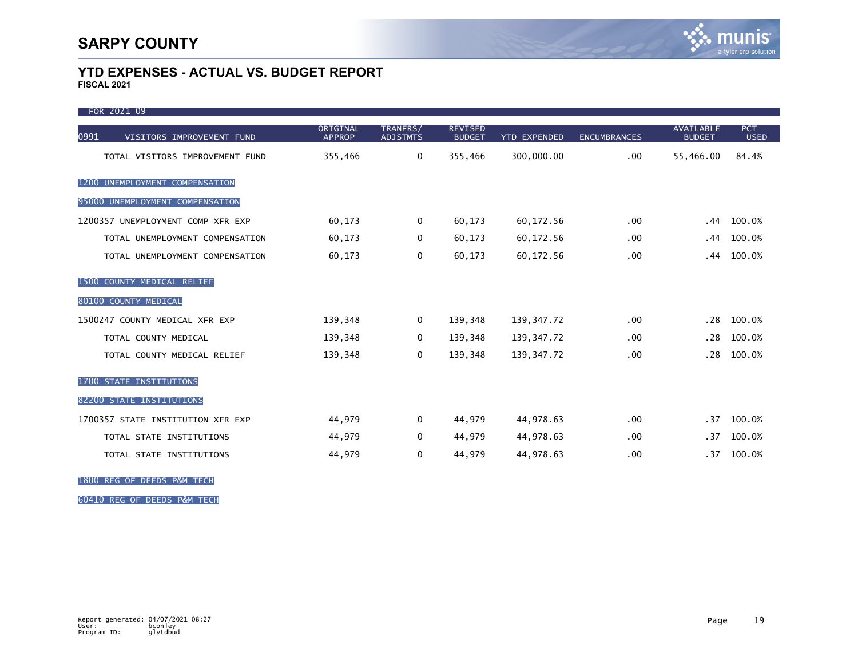ī

### **YTD EXPENSES - ACTUAL VS. BUDGET REPORT FISCAL 2021**

| FOR 2021 09                       |                           |                             |                                 |                     |                     |                                   |                           |
|-----------------------------------|---------------------------|-----------------------------|---------------------------------|---------------------|---------------------|-----------------------------------|---------------------------|
| 0991<br>VISITORS IMPROVEMENT FUND | ORIGINAL<br><b>APPROP</b> | TRANFRS/<br><b>ADJSTMTS</b> | <b>REVISED</b><br><b>BUDGET</b> | <b>YTD EXPENDED</b> | <b>ENCUMBRANCES</b> | <b>AVAILABLE</b><br><b>BUDGET</b> | <b>PCT</b><br><b>USED</b> |
| TOTAL VISITORS IMPROVEMENT FUND   | 355,466                   | 0                           | 355,466                         | 300,000.00          | .00.                | 55,466.00                         | 84.4%                     |
| 1200 UNEMPLOYMENT COMPENSATION    |                           |                             |                                 |                     |                     |                                   |                           |
| 95000 UNEMPLOYMENT COMPENSATION   |                           |                             |                                 |                     |                     |                                   |                           |
| 1200357 UNEMPLOYMENT COMP XFR EXP | 60,173                    | 0                           | 60,173                          | 60,172.56           | $.00 \times$        | . 44                              | 100.0%                    |
| TOTAL UNEMPLOYMENT COMPENSATION   | 60,173                    | 0                           | 60,173                          | 60,172.56           | .00                 | . 44                              | 100.0%                    |
| TOTAL UNEMPLOYMENT COMPENSATION   | 60,173                    | 0                           | 60,173                          | 60,172.56           | .00                 | . 44                              | 100.0%                    |
| 1500 COUNTY MEDICAL RELIEF        |                           |                             |                                 |                     |                     |                                   |                           |
| 80100 COUNTY MEDICAL              |                           |                             |                                 |                     |                     |                                   |                           |
| 1500247 COUNTY MEDICAL XFR EXP    | 139,348                   | $\mathbf{0}$                | 139,348                         | 139, 347. 72        | .00                 | .28                               | 100.0%                    |
| TOTAL COUNTY MEDICAL              | 139,348                   | 0                           | 139,348                         | 139, 347. 72        | .00                 | .28                               | 100.0%                    |
| TOTAL COUNTY MEDICAL RELIEF       | 139,348                   | 0                           | 139,348                         | 139, 347. 72        | .00                 | .28                               | 100.0%                    |
| 1700 STATE INSTITUTIONS           |                           |                             |                                 |                     |                     |                                   |                           |
| 82200 STATE INSTITUTIONS          |                           |                             |                                 |                     |                     |                                   |                           |
| 1700357 STATE INSTITUTION XFR EXP | 44,979                    | $\Omega$                    | 44,979                          | 44,978.63           | .00                 | .37 <sub>2</sub>                  | 100.0%                    |
| TOTAL STATE INSTITUTIONS          | 44,979                    | 0                           | 44,979                          | 44,978.63           | .00                 | .37                               | 100.0%                    |
| TOTAL STATE INSTITUTIONS          | 44,979                    | 0                           | 44,979                          | 44,978.63           | .00                 | .37 <sub>2</sub>                  | 100.0%                    |

1800 REG OF DEEDS P&M TECH

60410 REG OF DEEDS P&M TECH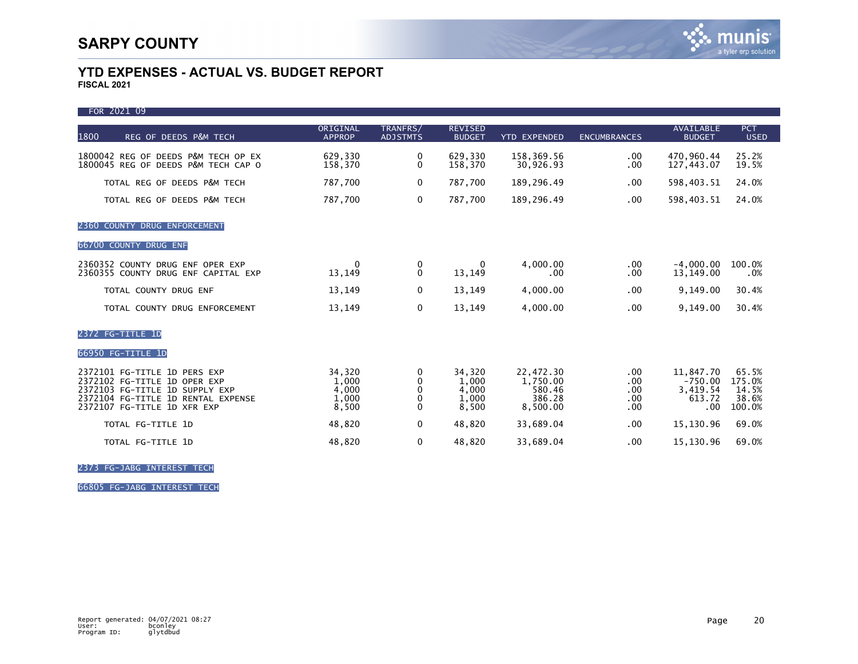| FOR 2021 09                                                                                                                                                         |                                            |                                                       |                                            |                                                       |                                   |                                                                  |                                             |
|---------------------------------------------------------------------------------------------------------------------------------------------------------------------|--------------------------------------------|-------------------------------------------------------|--------------------------------------------|-------------------------------------------------------|-----------------------------------|------------------------------------------------------------------|---------------------------------------------|
| 1800<br>REG OF DEEDS P&M TECH                                                                                                                                       | ORIGINAL<br><b>APPROP</b>                  | TRANFRS/<br><b>ADJSTMTS</b>                           | <b>REVISED</b><br><b>BUDGET</b>            | <b>YTD EXPENDED</b>                                   | <b>ENCUMBRANCES</b>               | <b>AVAILABLE</b><br><b>BUDGET</b>                                | <b>PCT</b><br><b>USED</b>                   |
| 1800042 REG OF DEEDS P&M TECH OP EX<br>1800045 REG OF DEEDS P&M TECH CAP O                                                                                          | 629,330<br>158,370                         | 0<br>$\mathbf{0}$                                     | 629,330<br>158,370                         | 158,369.56<br>30,926.93                               | $.00 \,$<br>.00                   | 470,960.44<br>127,443.07                                         | 25.2%<br>19.5%                              |
| TOTAL REG OF DEEDS P&M TECH                                                                                                                                         | 787,700                                    | $\Omega$                                              | 787,700                                    | 189,296.49                                            | .00.                              | 598,403.51                                                       | 24.0%                                       |
| TOTAL REG OF DEEDS P&M TECH                                                                                                                                         | 787,700                                    | $\mathbf 0$                                           | 787,700                                    | 189,296.49                                            | .00.                              | 598,403.51                                                       | 24.0%                                       |
| 2360 COUNTY DRUG ENFORCEMENT                                                                                                                                        |                                            |                                                       |                                            |                                                       |                                   |                                                                  |                                             |
| 66700 COUNTY DRUG ENF                                                                                                                                               |                                            |                                                       |                                            |                                                       |                                   |                                                                  |                                             |
| 2360352 COUNTY DRUG ENF OPER EXP<br>2360355 COUNTY DRUG ENF CAPITAL EXP                                                                                             | $\Omega$<br>13,149                         | 0<br>$\Omega$                                         | $\bf{0}$<br>13,149                         | 4,000.00<br>.00.                                      | $.00 \,$<br>.00.                  | $-4,000.00$<br>13,149.00                                         | 100.0%<br>.0%                               |
| TOTAL COUNTY DRUG ENF                                                                                                                                               | 13,149                                     | $\mathbf{0}$                                          | 13,149                                     | 4,000.00                                              | .00                               | 9,149.00                                                         | 30.4%                                       |
| TOTAL COUNTY DRUG ENFORCEMENT                                                                                                                                       | 13,149                                     | 0                                                     | 13,149                                     | 4,000.00                                              | .00                               | 9,149.00                                                         | 30.4%                                       |
| 2372 FG-TITLE 1D                                                                                                                                                    |                                            |                                                       |                                            |                                                       |                                   |                                                                  |                                             |
| 66950 FG-TITLE 1D                                                                                                                                                   |                                            |                                                       |                                            |                                                       |                                   |                                                                  |                                             |
| 2372101 FG-TITLE 1D PERS EXP<br>2372102 FG-TITLE 1D OPER EXP<br>2372103 FG-TITLE 1D SUPPLY EXP<br>2372104 FG-TITLE 1D RENTAL EXPENSE<br>2372107 FG-TITLE 1D XFR EXP | 34,320<br>1,000<br>4,000<br>1,000<br>8,500 | 0<br>$\mathbf 0$<br>0<br>$\mathbf{0}$<br>$\mathbf{0}$ | 34,320<br>1,000<br>4,000<br>1,000<br>8,500 | 22,472.30<br>1,750.00<br>580.46<br>386.28<br>8,500.00 | .00.<br>.00<br>.00<br>.00.<br>.00 | 11,847.70<br>$-750.00$<br>3,419.54<br>613.72<br>.00 <sub>1</sub> | 65.5%<br>175.0%<br>14.5%<br>38.6%<br>100.0% |
| TOTAL FG-TITLE 1D                                                                                                                                                   | 48,820                                     | $\mathbf{0}$                                          | 48,820                                     | 33,689.04                                             | .00                               | 15,130.96                                                        | 69.0%                                       |
| TOTAL FG-TITLE 1D                                                                                                                                                   | 48,820                                     | 0                                                     | 48,820                                     | 33,689.04                                             | .00                               | 15,130.96                                                        | 69.0%                                       |

2373 FG-JABG INTEREST TECH

66805 FG-JABG INTEREST TECH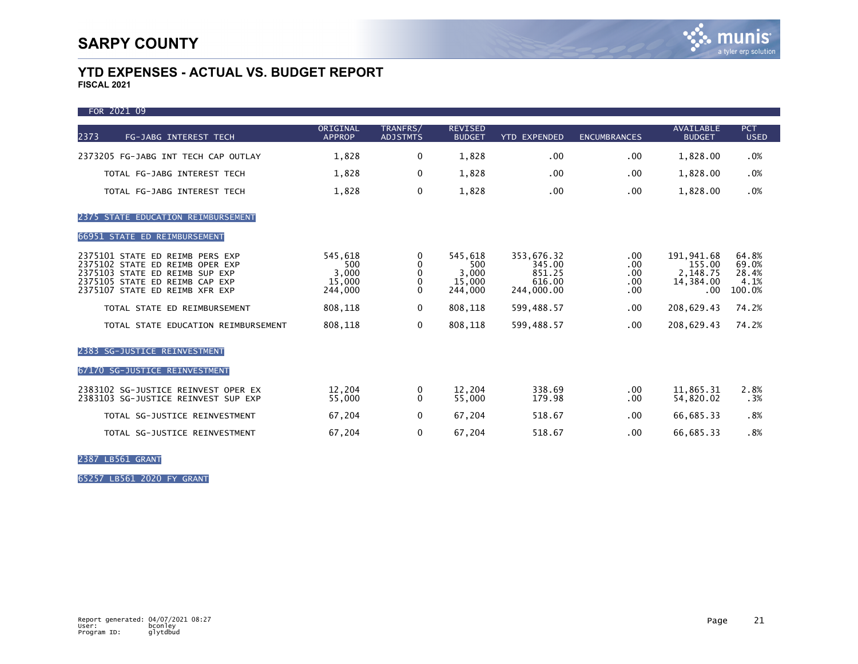$F$ COR 2021 09

| <b>FUR ZUZI UJ</b>                                                                                                                                                       |                                              |                             |                                              |                                                        |                                            |                                                       |                                           |
|--------------------------------------------------------------------------------------------------------------------------------------------------------------------------|----------------------------------------------|-----------------------------|----------------------------------------------|--------------------------------------------------------|--------------------------------------------|-------------------------------------------------------|-------------------------------------------|
| 2373<br>FG-JABG INTEREST TECH                                                                                                                                            | ORIGINAL<br><b>APPROP</b>                    | TRANFRS/<br><b>ADJSTMTS</b> | <b>REVISED</b><br><b>BUDGET</b>              | <b>YTD EXPENDED</b>                                    | <b>ENCUMBRANCES</b>                        | <b>AVAILABLE</b><br><b>BUDGET</b>                     | <b>PCT</b><br><b>USED</b>                 |
| 2373205 FG-JABG INT TECH CAP OUTLAY                                                                                                                                      | 1,828                                        | 0                           | 1,828                                        | .00                                                    | .00.                                       | 1,828.00                                              | .0%                                       |
| TOTAL FG-JABG INTEREST TECH                                                                                                                                              | 1,828                                        | 0                           | 1,828                                        | .00                                                    | .00                                        | 1,828.00                                              | .0%                                       |
| TOTAL FG-JABG INTEREST TECH                                                                                                                                              | 1,828                                        | $\Omega$                    | 1,828                                        | .00                                                    | .00                                        | 1,828.00                                              | .0%                                       |
| 2375 STATE EDUCATION REIMBURSEMENT                                                                                                                                       |                                              |                             |                                              |                                                        |                                            |                                                       |                                           |
| 66951 STATE ED REIMBURSEMENT                                                                                                                                             |                                              |                             |                                              |                                                        |                                            |                                                       |                                           |
| 2375101 STATE ED REIMB PERS EXP<br>2375102 STATE ED REIMB OPER EXP<br>2375103 STATE ED REIMB SUP EXP<br>2375105 STATE ED REIMB CAP EXP<br>2375107 STATE ED REIMB XFR EXP | 545,618<br>500<br>3,000<br>15,000<br>244,000 | 0<br>0<br>0<br>0<br>0       | 545,618<br>500<br>3,000<br>15,000<br>244,000 | 353,676.32<br>345.00<br>851.25<br>616.00<br>244,000.00 | $.00 \,$<br>.00<br>.00.<br>$.00 \,$<br>.00 | 191,941.68<br>155.00<br>2,148.75<br>14,384.00<br>.00. | 64.8%<br>69.0%<br>28.4%<br>4.1%<br>100.0% |
| TOTAL STATE ED REIMBURSEMENT                                                                                                                                             | 808,118                                      | $\Omega$                    | 808,118                                      | 599,488.57                                             | .00.                                       | 208,629.43                                            | 74.2%                                     |
| TOTAL STATE EDUCATION REIMBURSEMENT                                                                                                                                      | 808,118                                      | $\Omega$                    | 808.118                                      | 599.488.57                                             | .00.                                       | 208,629.43                                            | 74.2%                                     |
| 2383 SG-JUSTICE REINVESTMENT                                                                                                                                             |                                              |                             |                                              |                                                        |                                            |                                                       |                                           |
| 67170 SG-JUSTICE REINVESTMENT                                                                                                                                            |                                              |                             |                                              |                                                        |                                            |                                                       |                                           |
| 2383102 SG-JUSTICE REINVEST OPER EX<br>2383103 SG-JUSTICE REINVEST SUP EXP                                                                                               | 12,204<br>55,000                             | 0<br>0                      | 12.204<br>55,000                             | 338.69<br>179.98                                       | .00.<br>.00                                | 11,865.31<br>54,820.02                                | 2.8%<br>.3%                               |
| TOTAL SG-JUSTICE REINVESTMENT                                                                                                                                            | 67,204                                       | $\mathbf 0$                 | 67,204                                       | 518.67                                                 | .00                                        | 66,685.33                                             | .8%                                       |
| TOTAL SG-JUSTICE REINVESTMENT                                                                                                                                            | 67,204                                       | $\mathbf{0}$                | 67,204                                       | 518.67                                                 | .00                                        | 66,685.33                                             | .8%                                       |

2387 LB561 GRANT

65257 LB561 2020 FY GRANT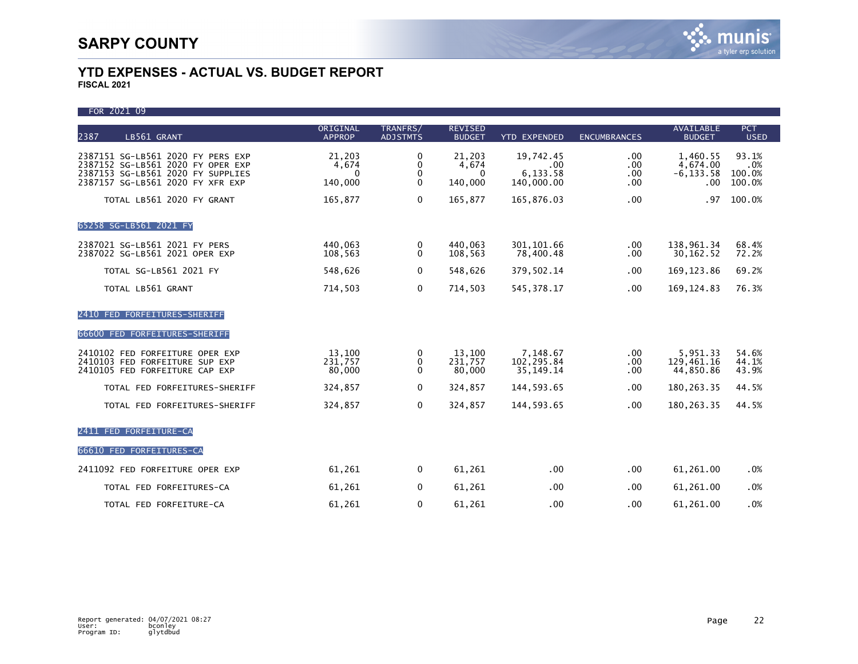FOR 2021 09 ORIGINAL TRANFRS/ REVISED AVAILABLE PCT 2387 LB561 GRANT APPROP ADJSTMTS BUDGET YTD EXPENDED ENCUMBRANCES BUDGET USED 2387151 SG-LB561 2020 FY PERS EXP 21,203 0 21,203 19,742.45 .00 1,460.55 93.1% 2387152 SG-LB561 2020 FY OPER EXP 4,674 0 4,674 .00 .00 4,674.00 .0% 2387153 SG-LB561 2020 FY SUPPLIES 0 0 0 6,133.58 .00 -6,133.58 100.0% 2387157 SG-LB561 2020 FY XFR EXP TOTAL LB561 2020 FY GRANT 165,877 0 165,877 165,877 165,876.03 .00 .00 .97 100.0% 65258 SG-LB561 2021 FY 2387021 SG-LB561 2021 FY PERS 440,063 0 440,063 301,101.66 .00 138,961.34 68.4%<br>2387022 SG-LB561 2021 OPER EXP 108.563 0 108.563 78.400.48 .00 30.162.52 72.2% 2387022 SG-LB561 2021 OPER EXP TOTAL SG-LB561 2021 FY 69.2% 548,626 0 548,626 379,502.14 .00 169,123.86 69.2% TOTAL LB561 GRANT 714,503 0 714,503 545,378.17 .00 169,124.83 76.3% 2410 FED FORFEITURES-SHERIFF 66600 FED FORFEITURES-SHERIFF 2410102 FED FORFEITURE OPER EXP 13,100 0 13,100 7,148.67 .00 5,951.33 54.6% 2410103 FED FORFEITURE SUP EXP 231,757 0 231,757 102,295.84 .00 129,461.16 44.1% 2410105 FED FORFEITURE CAP EXP TOTAL FED FORFEITURES-SHERIFF 324,857 0 324,857 144,593.65 .00 180,263.35 44.5% TOTAL FED FORFEITURES-SHERIFF 324,857 0 324,857 144,593.65 .00 180,263.35 44.5% 2411 FED FORFEITURE-CA 66610 FED FORFEITURES-CA 2411092 FED FORFEITURE OPER EXP 61,261 0 61,261 .00 .00 61,261.00 .0% TOTAL FED FORFEITURES-CA  $61,261$   $0$   $61,261$   $0$   $00$   $00$   $61,261.00$   $0\%$ TOTAL FED FORFEITURE-CA  $61,261$   $0$   $61,261$   $0$   $00$   $00$   $61,261.00$   $0\%$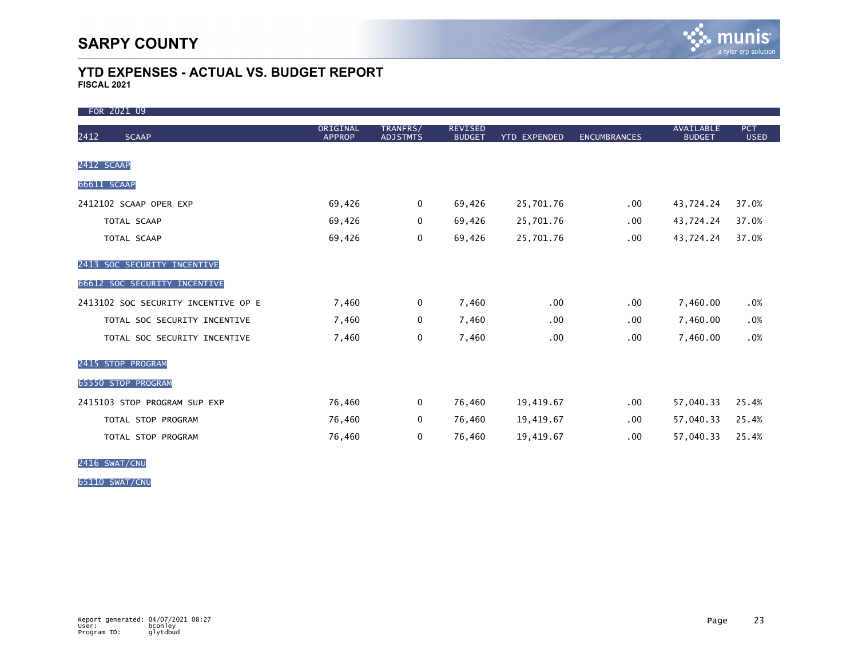| FOR 2021 09                         |                           |                             |                                 |                     |                     |                                   |                    |
|-------------------------------------|---------------------------|-----------------------------|---------------------------------|---------------------|---------------------|-----------------------------------|--------------------|
| 2412<br><b>SCAAP</b>                | ORIGINAL<br><b>APPROP</b> | TRANFRS/<br><b>ADJSTMTS</b> | <b>REVISED</b><br><b>BUDGET</b> | <b>YTD EXPENDED</b> | <b>ENCUMBRANCES</b> | <b>AVAILABLE</b><br><b>BUDGET</b> | PCT<br><b>USED</b> |
| 2412 SCAAP                          |                           |                             |                                 |                     |                     |                                   |                    |
| 66611 SCAAP                         |                           |                             |                                 |                     |                     |                                   |                    |
| 2412102 SCAAP OPER EXP              | 69,426                    | 0                           | 69,426                          | 25,701.76           | $.00 \,$            | 43,724.24                         | 37.0%              |
| TOTAL SCAAP                         | 69,426                    | 0                           | 69,426                          | 25,701.76           | .00.                | 43,724.24                         | 37.0%              |
| TOTAL SCAAP                         | 69,426                    | 0                           | 69,426                          | 25,701.76           | .00.                | 43,724.24                         | 37.0%              |
| 2413 SOC SECURITY INCENTIVE         |                           |                             |                                 |                     |                     |                                   |                    |
| 66612 SOC SECURITY INCENTIVE        |                           |                             |                                 |                     |                     |                                   |                    |
| 2413102 SOC SECURITY INCENTIVE OP E | 7,460                     | 0                           | 7,460                           | .00                 | .00.                | 7,460.00                          | .0%                |
| TOTAL SOC SECURITY INCENTIVE        | 7,460                     | 0                           | 7,460                           | .00                 | .00.                | 7,460.00                          | .0%                |
| TOTAL SOC SECURITY INCENTIVE        | 7,460                     | 0                           | 7,460                           | .00                 | .00.                | 7,460.00                          | .0%                |
| 2415 STOP PROGRAM                   |                           |                             |                                 |                     |                     |                                   |                    |
| 65550 STOP PROGRAM                  |                           |                             |                                 |                     |                     |                                   |                    |
| 2415103 STOP PROGRAM SUP EXP        | 76,460                    | 0                           | 76,460                          | 19,419.67           | $.00 \,$            | 57,040.33                         | 25.4%              |
| TOTAL STOP PROGRAM                  | 76,460                    | 0                           | 76,460                          | 19,419.67           | $.00 \,$            | 57,040.33                         | 25.4%              |
| TOTAL STOP PROGRAM                  | 76,460                    | 0                           | 76,460                          | 19,419.67           | .00.                | 57,040.33                         | 25.4%              |

2416 SWAT/CNU

65110 SWAT/CNU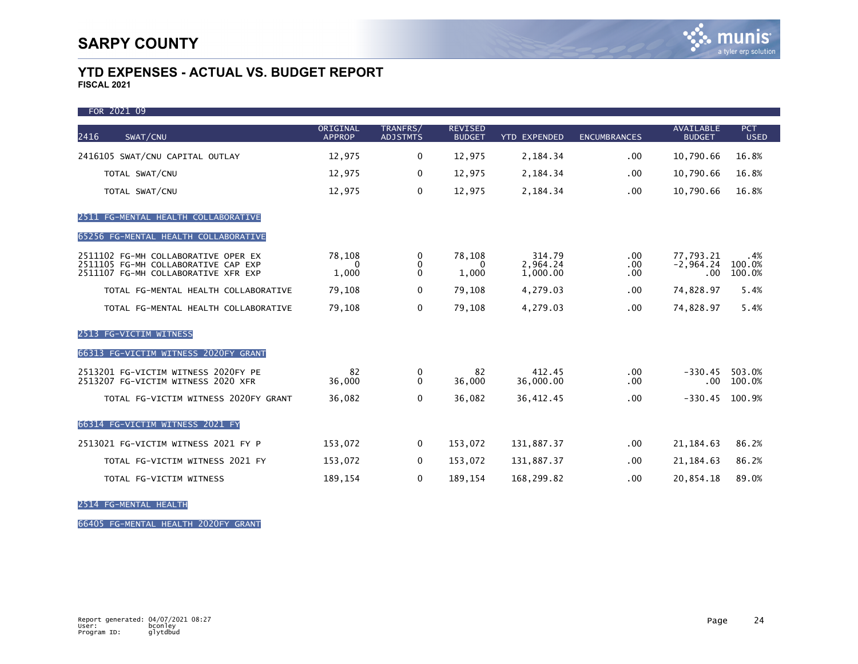| FOR 2021 09                                                                                                       |                           |                             |                                 |                                |                         |                                      |                           |
|-------------------------------------------------------------------------------------------------------------------|---------------------------|-----------------------------|---------------------------------|--------------------------------|-------------------------|--------------------------------------|---------------------------|
| 2416<br>SWAT/CNU                                                                                                  | ORIGINAL<br><b>APPROP</b> | TRANFRS/<br><b>ADJSTMTS</b> | <b>REVISED</b><br><b>BUDGET</b> | <b>YTD EXPENDED</b>            | <b>ENCUMBRANCES</b>     | <b>AVAILABLE</b><br><b>BUDGET</b>    | <b>PCT</b><br><b>USED</b> |
| 2416105 SWAT/CNU CAPITAL OUTLAY                                                                                   | 12,975                    | 0                           | 12,975                          | 2,184.34                       | .00.                    | 10,790.66                            | 16.8%                     |
| TOTAL SWAT/CNU                                                                                                    | 12,975                    | $\mathbf 0$                 | 12,975                          | 2,184.34                       | .00                     | 10,790.66                            | 16.8%                     |
| TOTAL SWAT/CNU                                                                                                    | 12,975                    | $\mathbf 0$                 | 12,975                          | 2,184.34                       | .00.                    | 10,790.66                            | 16.8%                     |
| 2511 FG-MENTAL HEALTH COLLABORATIVE                                                                               |                           |                             |                                 |                                |                         |                                      |                           |
| 65256 FG-MENTAL HEALTH COLLABORATIVE                                                                              |                           |                             |                                 |                                |                         |                                      |                           |
| 2511102 FG-MH COLLABORATIVE OPER EX<br>2511105 FG-MH COLLABORATIVE CAP EXP<br>2511107 FG-MH COLLABORATIVE XFR EXP | 78,108<br>1,000           | 0<br>0<br>$\Omega$          | 78,108<br>0<br>1,000            | 314.79<br>2,964.24<br>1.000.00 | .00<br>.00.<br>.00      | 77.793.21<br>$-2,964.24$<br>$.00 \,$ | .4%<br>100.0%<br>100.0%   |
| TOTAL FG-MENTAL HEALTH COLLABORATIVE                                                                              | 79,108                    | 0                           | 79,108                          | 4,279.03                       | .00.                    | 74,828.97                            | 5.4%                      |
| TOTAL FG-MENTAL HEALTH COLLABORATIVE                                                                              | 79,108                    | $\mathbf 0$                 | 79,108                          | 4,279.03                       | .00.                    | 74,828.97                            | 5.4%                      |
| 2513 FG-VICTIM WITNESS                                                                                            |                           |                             |                                 |                                |                         |                                      |                           |
| 66313 FG-VICTIM WITNESS 2020FY GRANT                                                                              |                           |                             |                                 |                                |                         |                                      |                           |
| 2513201 FG-VICTIM WITNESS 2020FY PE<br>2513207 FG-VICTIM WITNESS 2020 XFR                                         | 82<br>36,000              | 0<br>$\mathbf{0}$           | 82<br>36,000                    | 412.45<br>36,000.00            | .00 <sub>1</sub><br>.00 | $-330.45$<br>$.00 \,$                | 503.0%<br>100.0%          |
| TOTAL FG-VICTIM WITNESS 2020FY GRANT                                                                              | 36,082                    | $\mathbf 0$                 | 36,082                          | 36,412.45                      | .00.                    | $-330.45$                            | 100.9%                    |
| 66314 FG-VICTIM WITNESS 2021 FY                                                                                   |                           |                             |                                 |                                |                         |                                      |                           |
| 2513021 FG-VICTIM WITNESS 2021 FY P                                                                               | 153,072                   | 0                           | 153,072                         | 131,887.37                     | .00.                    | 21, 184.63                           | 86.2%                     |
| TOTAL FG-VICTIM WITNESS 2021 FY                                                                                   | 153,072                   | 0                           | 153,072                         | 131,887.37                     | $.00 \,$                | 21, 184.63                           | 86.2%                     |
| TOTAL FG-VICTIM WITNESS                                                                                           | 189,154                   | 0                           | 189,154                         | 168,299.82                     | .00.                    | 20,854.18                            | 89.0%                     |

2514 FG-MENTAL HEALTH

66405 FG-MENTAL HEALTH 2020FY GRANT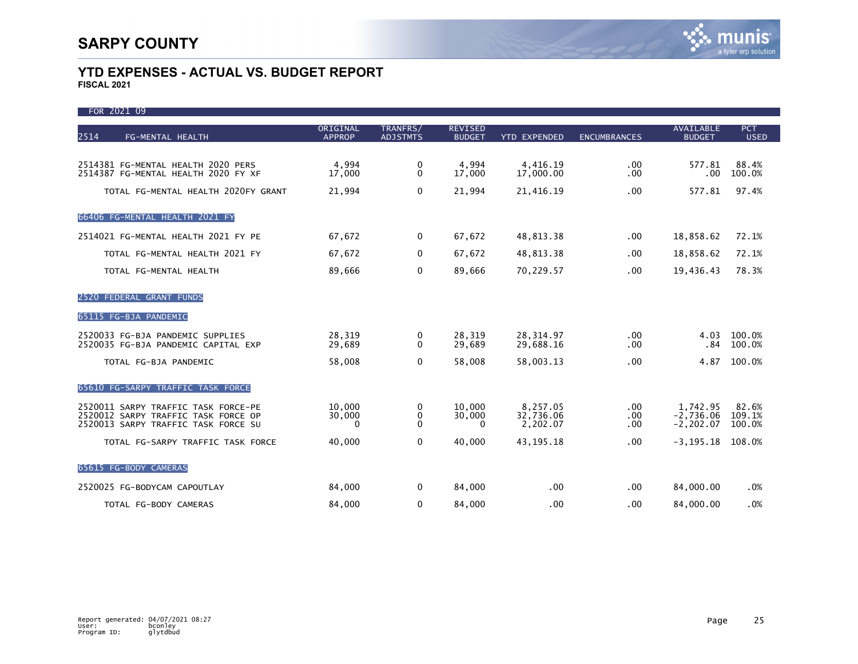| FOR 2021 09                                                                                                       |                              |                             |                                 |                                   |                         |                                          |                           |
|-------------------------------------------------------------------------------------------------------------------|------------------------------|-----------------------------|---------------------------------|-----------------------------------|-------------------------|------------------------------------------|---------------------------|
| 2514<br>FG-MENTAL HEALTH                                                                                          | ORIGINAL<br><b>APPROP</b>    | TRANFRS/<br><b>ADJSTMTS</b> | <b>REVISED</b><br><b>BUDGET</b> | <b>YTD EXPENDED</b>               | <b>ENCUMBRANCES</b>     | <b>AVAILABLE</b><br><b>BUDGET</b>        | <b>PCT</b><br><b>USED</b> |
|                                                                                                                   |                              |                             |                                 |                                   |                         |                                          |                           |
| 2514381 FG-MENTAL HEALTH 2020 PERS<br>2514387 FG-MENTAL HEALTH 2020 FY XF                                         | 4,994<br>17,000              | 0<br>$\mathbf{0}$           | 4,994<br>17,000                 | 4,416.19<br>17,000.00             | .00<br>.00.             | 577.81<br>.00                            | 88.4%<br>100.0%           |
| TOTAL FG-MENTAL HEALTH 2020FY GRANT                                                                               | 21,994                       | $\mathbf 0$                 | 21,994                          | 21,416.19                         | .00                     | 577.81                                   | 97.4%                     |
| 66406 FG-MENTAL HEALTH 2021 FY                                                                                    |                              |                             |                                 |                                   |                         |                                          |                           |
| 2514021 FG-MENTAL HEALTH 2021 FY PE                                                                               | 67,672                       | 0                           | 67,672                          | 48,813.38                         | .00.                    | 18,858.62                                | 72.1%                     |
| TOTAL FG-MENTAL HEALTH 2021 FY                                                                                    | 67,672                       | 0                           | 67,672                          | 48,813.38                         | .00                     | 18,858.62                                | 72.1%                     |
| TOTAL FG-MENTAL HEALTH                                                                                            | 89,666                       | $\mathbf 0$                 | 89,666                          | 70,229.57                         | .00.                    | 19,436.43                                | 78.3%                     |
| 2520 FEDERAL GRANT FUNDS                                                                                          |                              |                             |                                 |                                   |                         |                                          |                           |
| 65115 FG-BJA PANDEMIC                                                                                             |                              |                             |                                 |                                   |                         |                                          |                           |
| 2520033 FG-BJA PANDEMIC SUPPLIES<br>2520035 FG-BJA PANDEMIC CAPITAL EXP                                           | 28,319<br>29,689             | 0<br>$\mathbf{0}$           | 28,319<br>29,689                | 28,314.97<br>29,688.16            | .00<br>.00              | 4.03<br>.84                              | 100.0%<br>100.0%          |
| TOTAL FG-BJA PANDEMIC                                                                                             | 58,008                       | $\mathbf{0}$                | 58,008                          | 58,003.13                         | .00                     | 4.87                                     | 100.0%                    |
| 65610 FG-SARPY TRAFFIC TASK FORCE                                                                                 |                              |                             |                                 |                                   |                         |                                          |                           |
| 2520011 SARPY TRAFFIC TASK FORCE-PE<br>2520012 SARPY TRAFFIC TASK FORCE OP<br>2520013 SARPY TRAFFIC TASK FORCE SU | 10.000<br>30,000<br>$\Omega$ | 0<br>0<br>0                 | 10.000<br>30,000<br>0           | 8,257.05<br>32,736.06<br>2,202.07 | $.00 \,$<br>.00.<br>.00 | 1,742.95<br>$-2,736.06$<br>$-2, 202, 07$ | 82.6%<br>109.1%<br>100.0% |
| TOTAL FG-SARPY TRAFFIC TASK FORCE                                                                                 | 40,000                       | $\mathbf 0$                 | 40,000                          | 43, 195. 18                       | .00                     | $-3, 195.18$                             | 108.0%                    |
| 65615 FG-BODY CAMERAS                                                                                             |                              |                             |                                 |                                   |                         |                                          |                           |
| 2520025 FG-BODYCAM CAPOUTLAY                                                                                      | 84,000                       | 0                           | 84,000                          | .00                               | .00.                    | 84,000.00                                | .0%                       |
| TOTAL FG-BODY CAMERAS                                                                                             | 84,000                       | $\mathbf 0$                 | 84,000                          | .00                               | .00                     | 84,000,00                                | .0%                       |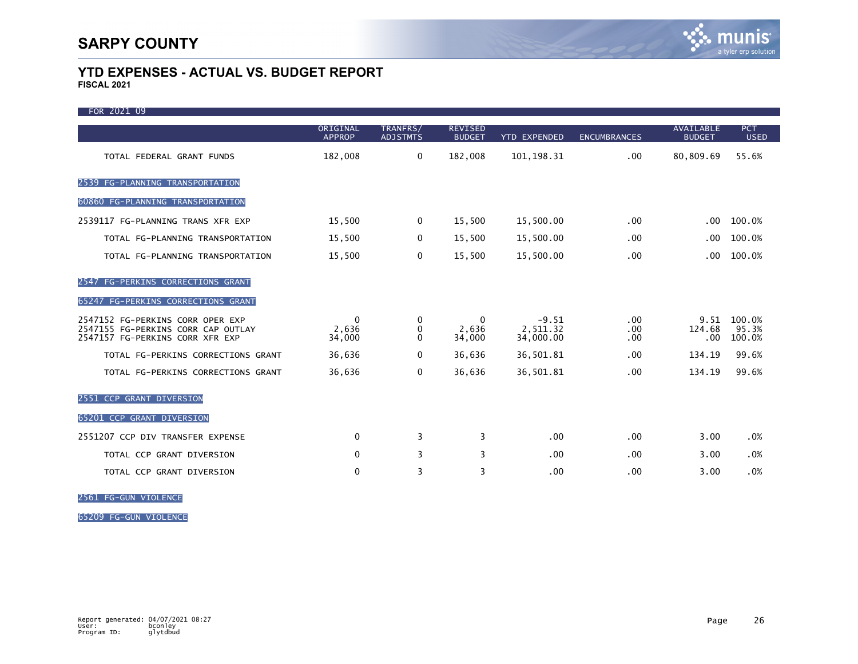| FOR 2021 09                                                                                               |                             |                             |                                 |                                  |                     |                                   |                           |
|-----------------------------------------------------------------------------------------------------------|-----------------------------|-----------------------------|---------------------------------|----------------------------------|---------------------|-----------------------------------|---------------------------|
|                                                                                                           | ORIGINAL<br><b>APPROP</b>   | TRANFRS/<br><b>ADJSTMTS</b> | <b>REVISED</b><br><b>BUDGET</b> | <b>YTD EXPENDED</b>              | <b>ENCUMBRANCES</b> | <b>AVAILABLE</b><br><b>BUDGET</b> | <b>PCT</b><br><b>USED</b> |
| TOTAL FEDERAL GRANT FUNDS                                                                                 | 182,008                     | 0                           | 182,008                         | 101, 198.31                      | .00                 | 80,809.69                         | 55.6%                     |
| 2539 FG-PLANNING TRANSPORTATION                                                                           |                             |                             |                                 |                                  |                     |                                   |                           |
| 60860 FG-PLANNING TRANSPORTATION                                                                          |                             |                             |                                 |                                  |                     |                                   |                           |
| 2539117 FG-PLANNING TRANS XFR EXP                                                                         | 15,500                      | 0                           | 15,500                          | 15,500.00                        | .00                 | .00                               | 100.0%                    |
| TOTAL FG-PLANNING TRANSPORTATION                                                                          | 15,500                      | 0                           | 15,500                          | 15,500.00                        | .00                 | .00                               | 100.0%                    |
| TOTAL FG-PLANNING TRANSPORTATION                                                                          | 15,500                      | 0                           | 15,500                          | 15,500.00                        | .00                 | .00                               | 100.0%                    |
| 2547 FG-PERKINS CORRECTIONS GRANT                                                                         |                             |                             |                                 |                                  |                     |                                   |                           |
| 65247 FG-PERKINS CORRECTIONS GRANT                                                                        |                             |                             |                                 |                                  |                     |                                   |                           |
| 2547152 FG-PERKINS CORR OPER EXP<br>2547155 FG-PERKINS CORR CAP OUTLAY<br>2547157 FG-PERKINS CORR XFR EXP | $\Omega$<br>2,636<br>34,000 | 0<br>0<br>$\Omega$          | 0<br>2,636<br>34,000            | $-9.51$<br>2,511.32<br>34,000.00 | .00<br>.00<br>.00   | 9.51<br>124.68<br>.00             | 100.0%<br>95.3%<br>100.0% |
| TOTAL FG-PERKINS CORRECTIONS GRANT                                                                        | 36,636                      | $\mathbf{0}$                | 36,636                          | 36,501.81                        | .00                 | 134.19                            | 99.6%                     |
| TOTAL FG-PERKINS CORRECTIONS GRANT                                                                        | 36,636                      | 0                           | 36,636                          | 36,501.81                        | .00                 | 134.19                            | 99.6%                     |
| 2551 CCP GRANT DIVERSION                                                                                  |                             |                             |                                 |                                  |                     |                                   |                           |
| 65201 CCP GRANT DIVERSION                                                                                 |                             |                             |                                 |                                  |                     |                                   |                           |
| 2551207 CCP DIV TRANSFER EXPENSE                                                                          | $\mathbf{0}$                | 3                           | 3                               | .00                              | .00                 | 3.00                              | .0%                       |
| TOTAL CCP GRANT DIVERSION                                                                                 | $\Omega$                    | 3                           | 3                               | .00                              | .00                 | 3.00                              | .0%                       |
| TOTAL CCP GRANT DIVERSION                                                                                 | $\Omega$                    | 3                           | 3                               | .00                              | .00                 | 3.00                              | .0%                       |

2561 FG-GUN VIOLENCE

65209 FG-GUN VIOLENCE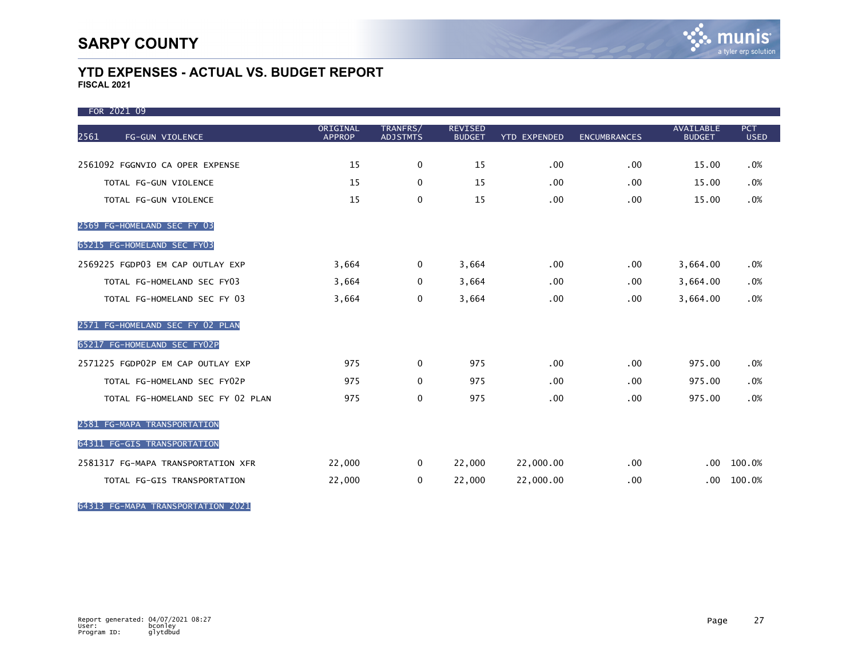| FOR 2021 09                        |                           |                             |                                 |                     |                     |                                   |                           |
|------------------------------------|---------------------------|-----------------------------|---------------------------------|---------------------|---------------------|-----------------------------------|---------------------------|
| 2561<br>FG-GUN VIOLENCE            | ORIGINAL<br><b>APPROP</b> | TRANFRS/<br><b>ADJSTMTS</b> | <b>REVISED</b><br><b>BUDGET</b> | <b>YTD EXPENDED</b> | <b>ENCUMBRANCES</b> | <b>AVAILABLE</b><br><b>BUDGET</b> | <b>PCT</b><br><b>USED</b> |
|                                    |                           |                             |                                 |                     |                     |                                   |                           |
| 2561092 FGGNVIO CA OPER EXPENSE    | 15                        | $\mathbf 0$                 | 15                              | .00                 | .00                 | 15.00                             | .0%                       |
| TOTAL FG-GUN VIOLENCE              | 15                        | $\mathbf 0$                 | 15                              | .00                 | .00.                | 15.00                             | .0%                       |
| TOTAL FG-GUN VIOLENCE              | 15                        | 0                           | 15                              | .00                 | .00.                | 15.00                             | .0%                       |
| 2569 FG-HOMELAND SEC FY 03         |                           |                             |                                 |                     |                     |                                   |                           |
| 65215 FG-HOMELAND SEC FY03         |                           |                             |                                 |                     |                     |                                   |                           |
| 2569225 FGDP03 EM CAP OUTLAY EXP   | 3,664                     | $\mathbf 0$                 | 3,664                           | .00                 | .00.                | 3,664.00                          | .0%                       |
| TOTAL FG-HOMELAND SEC FY03         | 3,664                     | $\mathbf 0$                 | 3,664                           | .00                 | .00.                | 3,664.00                          | .0%                       |
| TOTAL FG-HOMELAND SEC FY 03        | 3,664                     | 0                           | 3,664                           | .00                 | .00                 | 3,664.00                          | .0%                       |
| 2571 FG-HOMELAND SEC FY 02 PLAN    |                           |                             |                                 |                     |                     |                                   |                           |
| 65217 FG-HOMELAND SEC FY02P        |                           |                             |                                 |                     |                     |                                   |                           |
| 2571225 FGDP02P EM CAP OUTLAY EXP  | 975                       | $\mathbf{0}$                | 975                             | .00                 | $.00 \,$            | 975.00                            | .0%                       |
| TOTAL FG-HOMELAND SEC FY02P        | 975                       | $\Omega$                    | 975                             | .00                 | .00.                | 975.00                            | .0%                       |
| TOTAL FG-HOMELAND SEC FY 02 PLAN   | 975                       | 0                           | 975                             | .00                 | .00                 | 975.00                            | .0%                       |
| 2581 FG-MAPA TRANSPORTATION        |                           |                             |                                 |                     |                     |                                   |                           |
| 64311 FG-GIS TRANSPORTATION        |                           |                             |                                 |                     |                     |                                   |                           |
| 2581317 FG-MAPA TRANSPORTATION XFR | 22,000                    | $\mathbf 0$                 | 22,000                          | 22,000.00           | .00.                | .00 <sub>1</sub>                  | 100.0%                    |
| TOTAL FG-GIS TRANSPORTATION        | 22,000                    | 0                           | 22,000                          | 22,000.00           | .00                 | .00                               | 100.0%                    |

64313 FG-MAPA TRANSPORTATION 2021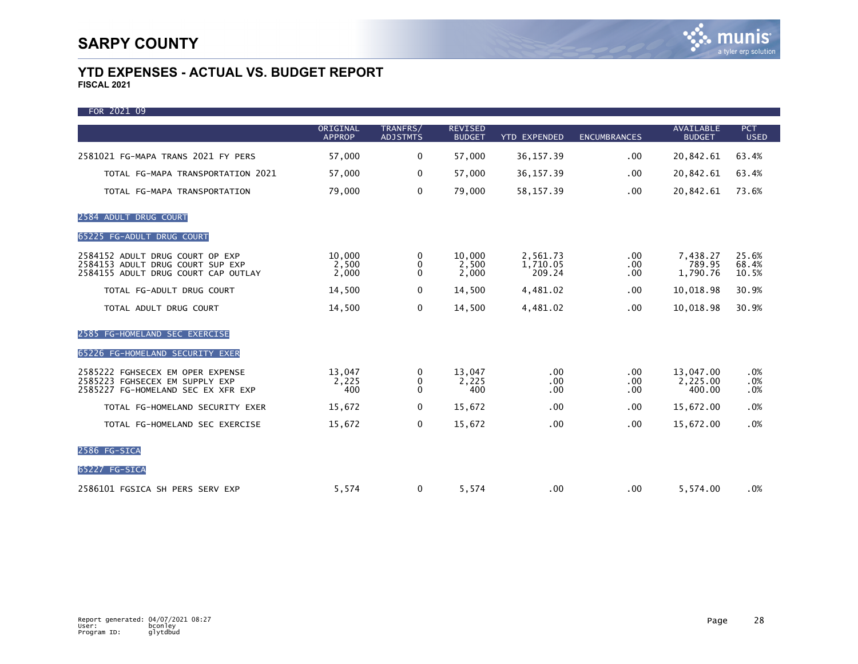| FOR 2021 09                                                                                                |                           |                             |                                 |                                |                         |                                   |                           |
|------------------------------------------------------------------------------------------------------------|---------------------------|-----------------------------|---------------------------------|--------------------------------|-------------------------|-----------------------------------|---------------------------|
|                                                                                                            | ORIGINAL<br><b>APPROP</b> | TRANFRS/<br><b>ADJSTMTS</b> | <b>REVISED</b><br><b>BUDGET</b> | <b>YTD EXPENDED</b>            | <b>ENCUMBRANCES</b>     | <b>AVAILABLE</b><br><b>BUDGET</b> | <b>PCT</b><br><b>USED</b> |
| 2581021 FG-MAPA TRANS 2021 FY PERS                                                                         | 57,000                    | 0                           | 57,000                          | 36, 157.39                     | .00                     | 20,842.61                         | 63.4%                     |
| TOTAL FG-MAPA TRANSPORTATION 2021                                                                          | 57,000                    | 0                           | 57,000                          | 36, 157.39                     | .00                     | 20,842.61                         | 63.4%                     |
| TOTAL FG-MAPA TRANSPORTATION                                                                               | 79,000                    | 0                           | 79,000                          | 58, 157.39                     | .00                     | 20,842.61                         | 73.6%                     |
| 2584 ADULT DRUG COURT                                                                                      |                           |                             |                                 |                                |                         |                                   |                           |
| 65225 FG-ADULT DRUG COURT                                                                                  |                           |                             |                                 |                                |                         |                                   |                           |
| 2584152 ADULT DRUG COURT OP EXP<br>2584153 ADULT DRUG COURT SUP EXP<br>2584155 ADULT DRUG COURT CAP OUTLAY | 10,000<br>2,500<br>2,000  | 0<br>0<br>$\mathbf{0}$      | 10,000<br>2,500<br>2,000        | 2,561.73<br>1,710.05<br>209.24 | .00.<br>.00.<br>.00     | 7,438.27<br>789.95<br>1.790.76    | 25.6%<br>68.4%<br>10.5%   |
| TOTAL FG-ADULT DRUG COURT                                                                                  | 14,500                    | 0                           | 14,500                          | 4,481.02                       | .00                     | 10,018.98                         | 30.9%                     |
| TOTAL ADULT DRUG COURT                                                                                     | 14,500                    | 0                           | 14,500                          | 4,481.02                       | .00                     | 10,018.98                         | 30.9%                     |
| 2585 FG-HOMELAND SEC EXERCISE                                                                              |                           |                             |                                 |                                |                         |                                   |                           |
| 65226 FG-HOMELAND SECURITY EXER                                                                            |                           |                             |                                 |                                |                         |                                   |                           |
| 2585222 FGHSECEX EM OPER EXPENSE<br>2585223 FGHSECEX EM SUPPLY EXP<br>2585227 FG-HOMELAND SEC EX XFR EXP   | 13,047<br>2,225<br>400    | 0<br>0<br>$\Omega$          | 13,047<br>2,225<br>400          | .00<br>.00.<br>$.00 \,$        | $.00 \,$<br>.00.<br>.00 | 13,047.00<br>2,225.00<br>400.00   | .0%<br>.0%<br>.0%         |
| TOTAL FG-HOMELAND SECURITY EXER                                                                            | 15,672                    | 0                           | 15,672                          | .00                            | .00                     | 15,672.00                         | .0%                       |
| TOTAL FG-HOMELAND SEC EXERCISE                                                                             | 15,672                    | 0                           | 15,672                          | .00                            | .00                     | 15,672.00                         | .0%                       |
| 2586 FG-SICA                                                                                               |                           |                             |                                 |                                |                         |                                   |                           |
| 65227 FG-SICA                                                                                              |                           |                             |                                 |                                |                         |                                   |                           |
| 2586101 FGSICA SH PERS SERV EXP                                                                            | 5,574                     | 0                           | 5,574                           | $.00 \,$                       | .00                     | 5,574.00                          | .0%                       |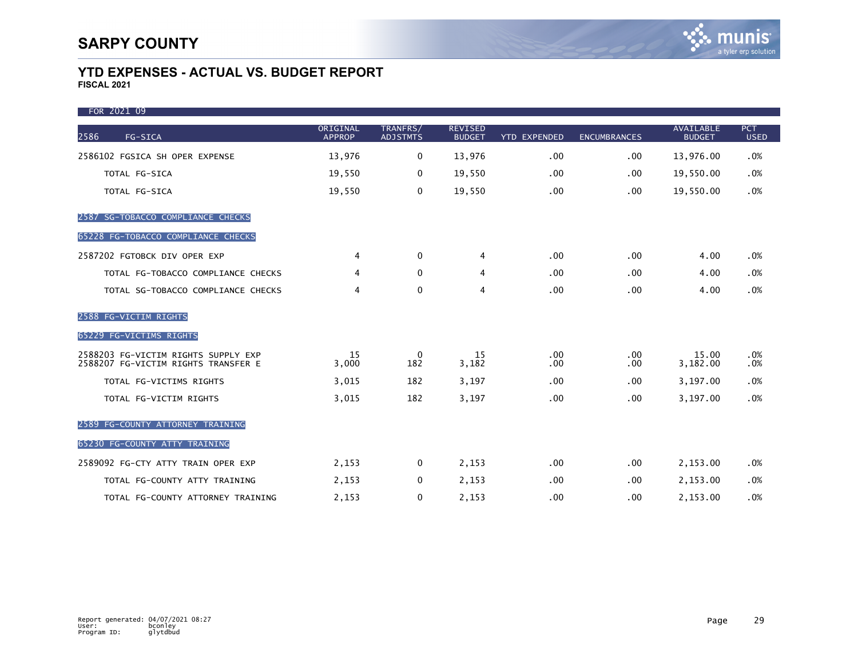| FOR 2021 09                                                                |                           |                             |                                 |                     |                      |                                   |                           |
|----------------------------------------------------------------------------|---------------------------|-----------------------------|---------------------------------|---------------------|----------------------|-----------------------------------|---------------------------|
| 2586<br>FG-SICA                                                            | ORIGINAL<br><b>APPROP</b> | TRANFRS/<br><b>ADJSTMTS</b> | <b>REVISED</b><br><b>BUDGET</b> | <b>YTD EXPENDED</b> | <b>ENCUMBRANCES</b>  | <b>AVAILABLE</b><br><b>BUDGET</b> | <b>PCT</b><br><b>USED</b> |
| 2586102 FGSICA SH OPER EXPENSE                                             | 13,976                    | $\mathbf 0$                 | 13,976                          | .00                 | .00                  | 13,976.00                         | .0%                       |
| TOTAL FG-SICA                                                              | 19,550                    | $\mathbf 0$                 | 19,550                          | .00                 | .00.                 | 19,550.00                         | .0%                       |
| TOTAL FG-SICA                                                              | 19,550                    | 0                           | 19,550                          | .00                 | .00.                 | 19,550.00                         | .0%                       |
| 2587 SG-TOBACCO COMPLIANCE CHECKS                                          |                           |                             |                                 |                     |                      |                                   |                           |
| 65228 FG-TOBACCO COMPLIANCE CHECKS                                         |                           |                             |                                 |                     |                      |                                   |                           |
| 2587202 FGTOBCK DIV OPER EXP                                               | 4                         | $\Omega$                    | 4                               | .00                 | .00                  | 4.00                              | .0%                       |
| TOTAL FG-TOBACCO COMPLIANCE CHECKS                                         | 4                         | $\mathbf{0}$                | 4                               | .00                 | .00.                 | 4.00                              | .0%                       |
| TOTAL SG-TOBACCO COMPLIANCE CHECKS                                         | 4                         | $\mathbf 0$                 | 4                               | .00                 | .00.                 | 4.00                              | .0%                       |
| 2588 FG-VICTIM RIGHTS                                                      |                           |                             |                                 |                     |                      |                                   |                           |
| 65229 FG-VICTIMS RIGHTS                                                    |                           |                             |                                 |                     |                      |                                   |                           |
| 2588203 FG-VICTIM RIGHTS SUPPLY EXP<br>2588207 FG-VICTIM RIGHTS TRANSFER E | 15<br>3,000               | $\mathbf 0$<br>182          | 15<br>3,182                     | .00<br>.00          | $.00 \,$<br>$.00 \,$ | 15.00<br>3,182.00                 | .0%<br>.0%                |
| TOTAL FG-VICTIMS RIGHTS                                                    | 3,015                     | 182                         | 3,197                           | .00                 | .00.                 | 3,197.00                          | .0%                       |
| TOTAL FG-VICTIM RIGHTS                                                     | 3,015                     | 182                         | 3,197                           | .00                 | .00.                 | 3,197.00                          | .0%                       |
| 2589 FG-COUNTY ATTORNEY TRAINING                                           |                           |                             |                                 |                     |                      |                                   |                           |
| 65230 FG-COUNTY ATTY TRAINING                                              |                           |                             |                                 |                     |                      |                                   |                           |
| 2589092 FG-CTY ATTY TRAIN OPER EXP                                         | 2,153                     | $\Omega$                    | 2,153                           | .00                 | .00.                 | 2,153.00                          | .0%                       |
| TOTAL FG-COUNTY ATTY TRAINING                                              | 2,153                     | $\mathbf 0$                 | 2,153                           | .00                 | .00.                 | 2,153.00                          | .0%                       |
| TOTAL FG-COUNTY ATTORNEY TRAINING                                          | 2,153                     | $\mathbf 0$                 | 2,153                           | .00                 | .00.                 | 2,153.00                          | .0%                       |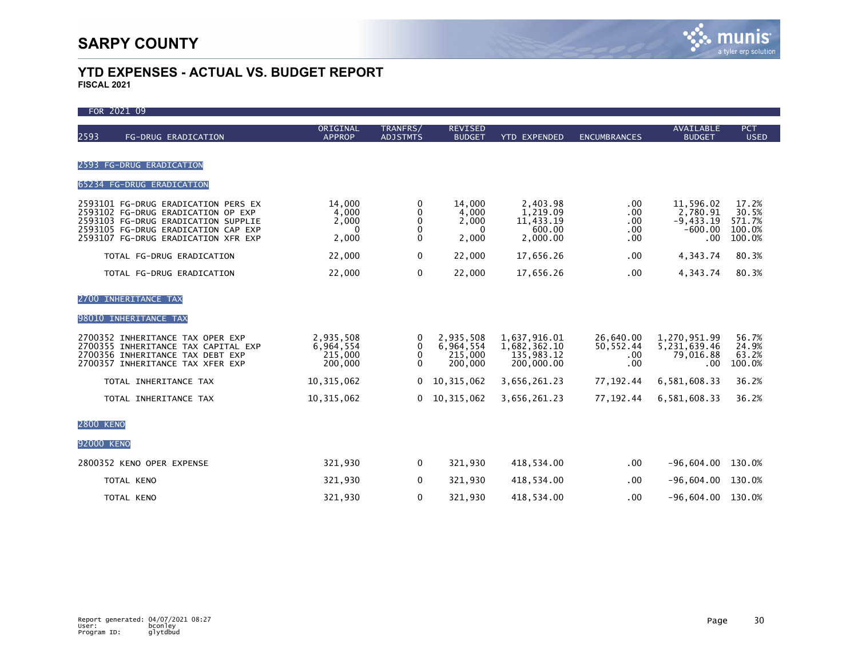| FOR 2021 09                                                                                                                                                                                    |                                                   |                              |                                              |                                                          |                                       |                                                          |                                              |
|------------------------------------------------------------------------------------------------------------------------------------------------------------------------------------------------|---------------------------------------------------|------------------------------|----------------------------------------------|----------------------------------------------------------|---------------------------------------|----------------------------------------------------------|----------------------------------------------|
| 2593<br>FG-DRUG ERADICATION                                                                                                                                                                    | ORIGINAL<br><b>APPROP</b>                         | TRANFRS/<br><b>ADJSTMTS</b>  | <b>REVISED</b><br><b>BUDGET</b>              | <b>YTD EXPENDED</b>                                      | <b>ENCUMBRANCES</b>                   | <b>AVAILABLE</b><br><b>BUDGET</b>                        | <b>PCT</b><br><b>USED</b>                    |
|                                                                                                                                                                                                |                                                   |                              |                                              |                                                          |                                       |                                                          |                                              |
| 2593 FG-DRUG ERADICATION                                                                                                                                                                       |                                                   |                              |                                              |                                                          |                                       |                                                          |                                              |
| 65234 FG-DRUG ERADICATION                                                                                                                                                                      |                                                   |                              |                                              |                                                          |                                       |                                                          |                                              |
| 2593101 FG-DRUG ERADICATION PERS EX<br>2593102 FG-DRUG ERADICATION OP EXP<br>2593103 FG-DRUG ERADICATION SUPPLIE<br>2593105 FG-DRUG ERADICATION CAP EXP<br>2593107 FG-DRUG ERADICATION XFR EXP | 14,000<br>4,000<br>2,000<br>$\mathbf{0}$<br>2,000 | 0<br>0<br>0<br>0<br>$\Omega$ | 14,000<br>4,000<br>2,000<br>0<br>2,000       | 2,403.98<br>1,219.09<br>11,433.19<br>600.00<br>2,000.00  | .00<br>.00<br>.00<br>.00<br>.00       | 11,596.02<br>2,780.91<br>$-9,433.19$<br>$-600.00$<br>.00 | 17.2%<br>30.5%<br>571.7%<br>100.0%<br>100.0% |
| TOTAL FG-DRUG ERADICATION                                                                                                                                                                      | 22,000                                            | 0                            | 22,000                                       | 17,656.26                                                | .00                                   | 4,343.74                                                 | 80.3%                                        |
| TOTAL FG-DRUG ERADICATION                                                                                                                                                                      | 22,000                                            | $\mathbf 0$                  | 22,000                                       | 17,656.26                                                | .00                                   | 4,343.74                                                 | 80.3%                                        |
| 2700 INHERITANCE TAX                                                                                                                                                                           |                                                   |                              |                                              |                                                          |                                       |                                                          |                                              |
| 98010 INHERITANCE TAX                                                                                                                                                                          |                                                   |                              |                                              |                                                          |                                       |                                                          |                                              |
| 2700352 INHERITANCE TAX OPER EXP<br>2700355 INHERITANCE TAX CAPITAL EXP<br>2700356 INHERITANCE TAX DEBT EXP<br>2700357 INHERITANCE TAX XFER EXP                                                | 2,935,508<br>6,964,554<br>215,000<br>200,000      | 0<br>0<br>0<br>$\Omega$      | 2,935,508<br>6,964,554<br>215,000<br>200,000 | 1,637,916.01<br>1,682,362.10<br>135,983.12<br>200,000.00 | 26,640.00<br>50, 552.44<br>.00<br>.00 | 1,270,951.99<br>5,231,639.46<br>79,016.88<br>.00         | 56.7%<br>24.9%<br>63.2%<br>100.0%            |
| TOTAL INHERITANCE TAX                                                                                                                                                                          | 10, 315, 062                                      | 0                            | 10,315,062                                   | 3,656,261.23                                             | 77, 192.44                            | 6,581,608.33                                             | 36.2%                                        |
| TOTAL INHERITANCE TAX                                                                                                                                                                          | 10, 315, 062                                      | 0                            | 10,315,062                                   | 3,656,261.23                                             | 77, 192.44                            | 6,581,608.33                                             | 36.2%                                        |
| <b>2800 KENO</b>                                                                                                                                                                               |                                                   |                              |                                              |                                                          |                                       |                                                          |                                              |
| 92000 KENO                                                                                                                                                                                     |                                                   |                              |                                              |                                                          |                                       |                                                          |                                              |
| 2800352 KENO OPER EXPENSE                                                                                                                                                                      | 321,930                                           | $\mathbf 0$                  | 321,930                                      | 418,534.00                                               | .00                                   | $-96,604.00$                                             | 130.0%                                       |
| TOTAL KENO                                                                                                                                                                                     | 321,930                                           | 0                            | 321,930                                      | 418,534.00                                               | .00                                   | $-96,604.00$                                             | 130.0%                                       |
| TOTAL KENO                                                                                                                                                                                     | 321,930                                           | 0                            | 321,930                                      | 418,534.00                                               | .00.                                  | $-96,604.00$                                             | 130.0%                                       |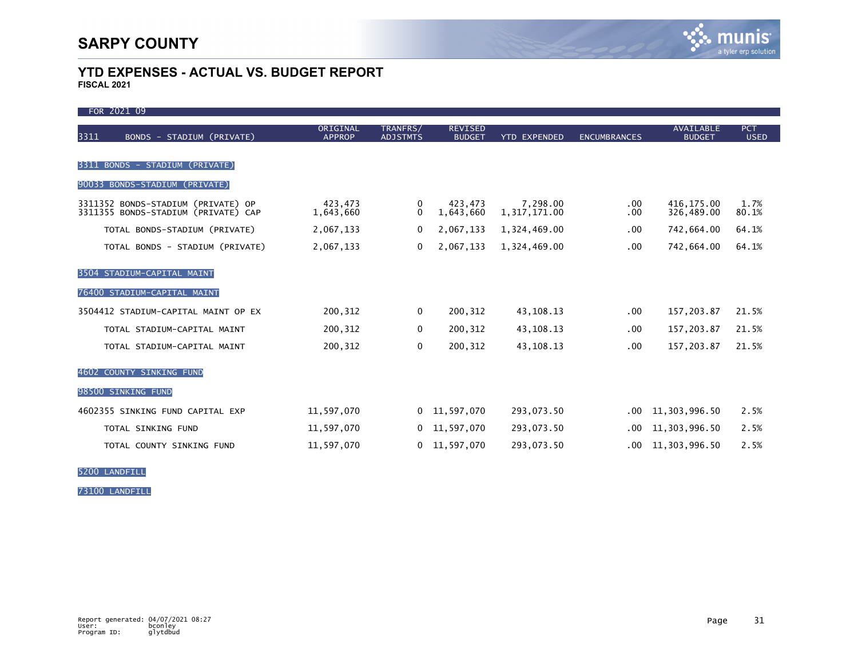| FOR 2021 09                                                               |                           |                             |                                 |                          |                     |                            |                           |
|---------------------------------------------------------------------------|---------------------------|-----------------------------|---------------------------------|--------------------------|---------------------|----------------------------|---------------------------|
| 3311<br>BONDS - STADIUM (PRIVATE)                                         | ORIGINAL<br><b>APPROP</b> | TRANFRS/<br><b>ADJSTMTS</b> | <b>REVISED</b><br><b>BUDGET</b> | <b>YTD EXPENDED</b>      | <b>ENCUMBRANCES</b> | AVAILABLE<br><b>BUDGET</b> | <b>PCT</b><br><b>USED</b> |
| BONDS - STADIUM (PRIVATE)<br>3311                                         |                           |                             |                                 |                          |                     |                            |                           |
| 90033 BONDS-STADIUM (PRIVATE)                                             |                           |                             |                                 |                          |                     |                            |                           |
| 3311352 BONDS-STADIUM (PRIVATE) OP<br>3311355 BONDS-STADIUM (PRIVATE) CAP | 423,473<br>1,643,660      | 0<br>$\Omega$               | 423,473<br>1,643,660            | 7,298.00<br>1,317,171.00 | $.00 \,$<br>.00.    | 416, 175.00<br>326,489.00  | 1.7%<br>80.1%             |
| TOTAL BONDS-STADIUM (PRIVATE)                                             | 2,067,133                 | 0                           | 2,067,133                       | 1,324,469.00             | .00.                | 742,664.00                 | 64.1%                     |
| TOTAL BONDS - STADIUM (PRIVATE)                                           | 2,067,133                 | 0                           | 2,067,133                       | 1,324,469.00             | .00.                | 742,664.00                 | 64.1%                     |
| 3504 STADIUM-CAPITAL MAINT                                                |                           |                             |                                 |                          |                     |                            |                           |
| 76400 STADIUM-CAPITAL MAINT                                               |                           |                             |                                 |                          |                     |                            |                           |
| 3504412 STADIUM-CAPITAL MAINT OP EX                                       | 200,312                   | $\mathbf 0$                 | 200,312                         | 43, 108. 13              | .00.                | 157,203.87                 | 21.5%                     |
| TOTAL STADIUM-CAPITAL MAINT                                               | 200,312                   | 0                           | 200,312                         | 43, 108. 13              | .00.                | 157,203.87                 | 21.5%                     |
| TOTAL STADIUM-CAPITAL MAINT                                               | 200,312                   | 0                           | 200,312                         | 43, 108. 13              | .00.                | 157,203.87                 | 21.5%                     |
| 4602 COUNTY SINKING FUND                                                  |                           |                             |                                 |                          |                     |                            |                           |
| 98500 SINKING FUND                                                        |                           |                             |                                 |                          |                     |                            |                           |
| 4602355 SINKING FUND CAPITAL EXP                                          | 11,597,070                |                             | $0$ 11,597,070                  | 293,073.50               | .00                 | 11,303,996.50              | 2.5%                      |
| TOTAL SINKING FUND                                                        | 11,597,070                | 0                           | 11,597,070                      | 293,073.50               | .00                 | 11,303,996.50              | 2.5%                      |
| TOTAL COUNTY SINKING FUND                                                 | 11,597,070                | $\mathbf{0}$                | 11,597,070                      | 293,073.50               | .00                 | 11,303,996.50              | 2.5%                      |

5200 LANDFILL

73100 LANDFILL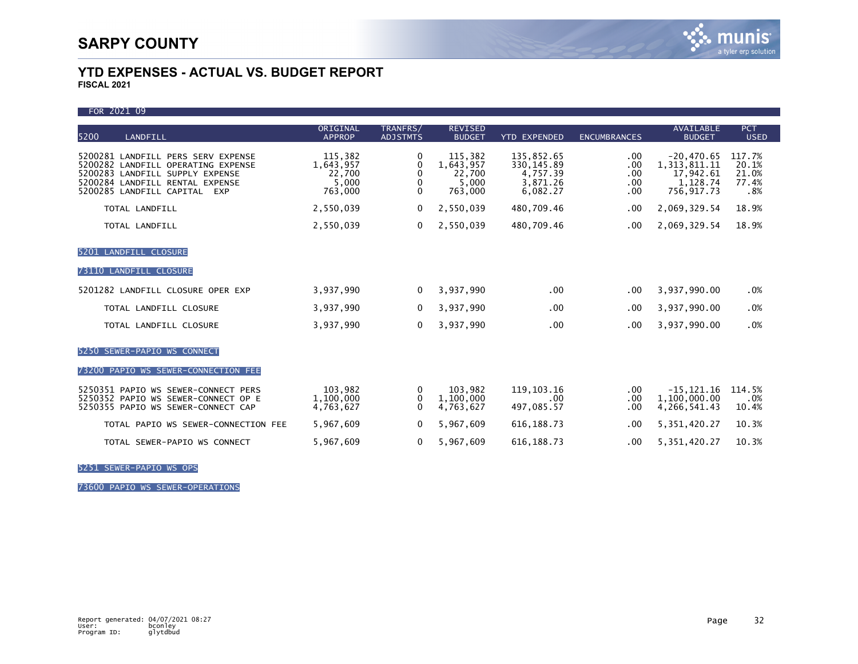FOR 2021 09

|                                                                                                                                                                                          | ORIGINAL                                           |                                         |                                                    |                                                               |                                 | <b>AVAILABLE</b>                                                       | <b>PCT</b>                               |
|------------------------------------------------------------------------------------------------------------------------------------------------------------------------------------------|----------------------------------------------------|-----------------------------------------|----------------------------------------------------|---------------------------------------------------------------|---------------------------------|------------------------------------------------------------------------|------------------------------------------|
| 5200<br>LANDFILL                                                                                                                                                                         | <b>APPROP</b>                                      | TRANFRS/<br><b>ADJSTMTS</b>             | <b>REVISED</b><br><b>BUDGET</b>                    | <b>YTD EXPENDED</b>                                           | <b>ENCUMBRANCES</b>             | <b>BUDGET</b>                                                          | <b>USED</b>                              |
| 5200281 LANDFILL PERS SERV EXPENSE<br>5200282 LANDFILL OPERATING EXPENSE<br>5200283 LANDFILL SUPPLY EXPENSE<br>5200284 LANDFILL RENTAL EXPENSE<br>5200285 LANDFILL CAPITAL<br><b>EXP</b> | 115,382<br>1,643,957<br>22,700<br>5,000<br>763,000 | 0<br>0<br>$\mathbf{0}$<br>0<br>$\Omega$ | 115,382<br>1,643,957<br>22.700<br>5,000<br>763,000 | 135,852.65<br>330, 145.89<br>4,757.39<br>3,871.26<br>6,082.27 | .00<br>.00<br>.00<br>.00<br>.00 | $-20,470.65$<br>1, 313, 811. 11<br>17,942.61<br>1,128.74<br>756,917.73 | 117.7%<br>20.1%<br>21.0%<br>77.4%<br>.8% |
| TOTAL LANDFILL                                                                                                                                                                           | 2,550,039                                          | 0                                       | 2,550,039                                          | 480,709.46                                                    | .00                             | 2,069,329.54                                                           | 18.9%                                    |
| TOTAL LANDFILL                                                                                                                                                                           | 2,550,039                                          | 0                                       | 2,550,039                                          | 480,709.46                                                    | .00                             | 2,069,329.54                                                           | 18.9%                                    |
| 5201 LANDFILL CLOSURE                                                                                                                                                                    |                                                    |                                         |                                                    |                                                               |                                 |                                                                        |                                          |
| LANDFILL CLOSURE<br>73110                                                                                                                                                                |                                                    |                                         |                                                    |                                                               |                                 |                                                                        |                                          |
| 5201282 LANDFILL CLOSURE OPER EXP                                                                                                                                                        | 3,937,990                                          | $\Omega$                                | 3,937,990                                          | .00                                                           | .00                             | 3,937,990.00                                                           | .0%                                      |
| TOTAL LANDFILL CLOSURE                                                                                                                                                                   | 3,937,990                                          | 0                                       | 3,937,990                                          | .00                                                           | .00                             | 3,937,990.00                                                           | .0%                                      |
| TOTAL LANDFILL CLOSURE                                                                                                                                                                   | 3,937,990                                          | 0                                       | 3,937,990                                          | .00                                                           | .00                             | 3,937,990.00                                                           | .0%                                      |
| SEWER-PAPIO WS CONNECT<br>5250                                                                                                                                                           |                                                    |                                         |                                                    |                                                               |                                 |                                                                        |                                          |
| 73200 PAPIO WS SEWER-CONNECTION FEE                                                                                                                                                      |                                                    |                                         |                                                    |                                                               |                                 |                                                                        |                                          |
| 5250351 PAPIO WS SEWER-CONNECT PERS<br>5250352 PAPIO WS SEWER-CONNECT OP E<br>5250355 PAPIO WS SEWER-CONNECT CAP                                                                         | 103,982<br>1,100,000<br>4,763,627                  | 0<br>0<br>$\Omega$                      | 103,982<br>1,100,000<br>4,763,627                  | 119.103.16<br>.00<br>497.085.57                               | .00.<br>.00<br>.00              | $-15, 121.16$<br>1,100,000.00<br>4, 266, 541, 43                       | 114.5%<br>.0%<br>10.4%                   |
| TOTAL PAPIO WS SEWER-CONNECTION FEE                                                                                                                                                      | 5,967,609                                          | 0                                       | 5,967,609                                          | 616.188.73                                                    | .00                             | 5, 351, 420.27                                                         | 10.3%                                    |
| TOTAL SEWER-PAPIO WS CONNECT                                                                                                                                                             | 5,967,609                                          | 0                                       | 5,967,609                                          | 616, 188. 73                                                  | .00                             | 5, 351, 420.27                                                         | 10.3%                                    |

5251 SEWER-PAPIO WS OPS

73600 PAPIO WS SEWER-OPERATIONS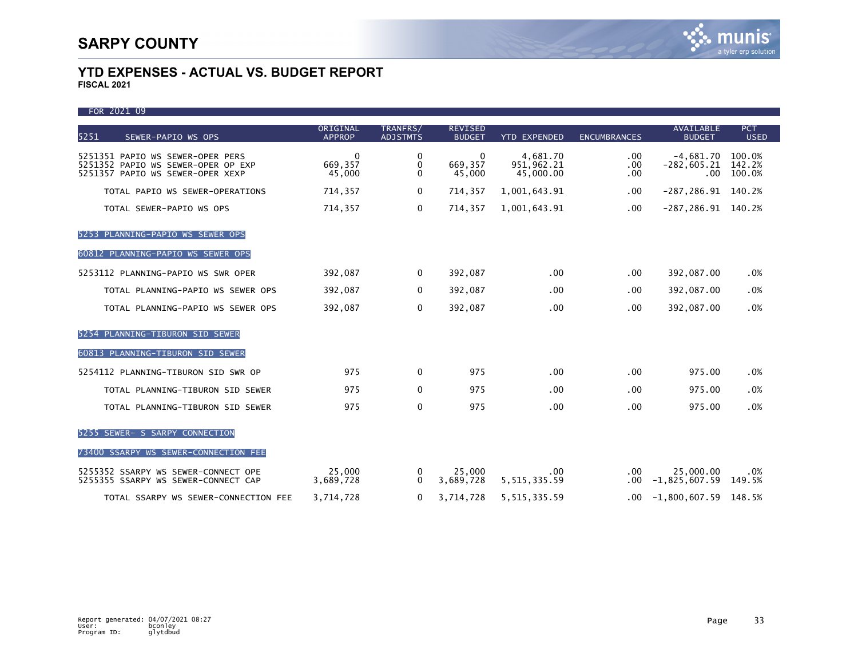| FOR 2021 09                                                                                                |                               |                             |                                 |                                     |                            |                                        |                            |
|------------------------------------------------------------------------------------------------------------|-------------------------------|-----------------------------|---------------------------------|-------------------------------------|----------------------------|----------------------------------------|----------------------------|
| 5251<br>SEWER-PAPIO WS OPS                                                                                 | ORIGINAL<br><b>APPROP</b>     | TRANFRS/<br><b>ADJSTMTS</b> | <b>REVISED</b><br><b>BUDGET</b> | <b>YTD EXPENDED</b>                 | <b>ENCUMBRANCES</b>        | AVAILABLE<br><b>BUDGET</b>             | <b>PCT</b><br><b>USED</b>  |
| 5251351 PAPIO WS SEWER-OPER PERS<br>5251352 PAPIO WS SEWER-OPER OP EXP<br>5251357 PAPIO WS SEWER-OPER XEXP | $\Omega$<br>669,357<br>45,000 | 0<br>0<br>0                 | $\Omega$<br>669,357<br>45,000   | 4,681.70<br>951,962.21<br>45,000.00 | .00<br>.00.<br>.00         | -4,681.70<br>$-282,605.21$<br>$.00 \,$ | 100.0%<br>142.2%<br>100.0% |
| TOTAL PAPIO WS SEWER-OPERATIONS                                                                            | 714,357                       | $\Omega$                    | 714,357                         | 1,001,643.91                        | $.00 \,$                   | $-287, 286.91$                         | 140.2%                     |
| TOTAL SEWER-PAPIO WS OPS                                                                                   | 714,357                       | $\mathbf{0}$                | 714,357                         | 1,001,643.91                        | .00                        | $-287, 286.91$ 140.2%                  |                            |
| 5253 PLANNING-PAPIO WS SEWER OPS                                                                           |                               |                             |                                 |                                     |                            |                                        |                            |
| 60812 PLANNING-PAPIO WS SEWER OPS                                                                          |                               |                             |                                 |                                     |                            |                                        |                            |
| 5253112 PLANNING-PAPIO WS SWR OPER                                                                         | 392,087                       | $\Omega$                    | 392,087                         | $.00 \,$                            | .00.                       | 392,087.00                             | .0%                        |
| TOTAL PLANNING-PAPIO WS SEWER OPS                                                                          | 392,087                       | $\Omega$                    | 392,087                         | .00                                 | .00.                       | 392,087.00                             | .0%                        |
| TOTAL PLANNING-PAPIO WS SEWER OPS                                                                          | 392,087                       | 0                           | 392,087                         | .00                                 | .00.                       | 392,087.00                             | .0%                        |
| 5254 PLANNING-TIBURON SID SEWER                                                                            |                               |                             |                                 |                                     |                            |                                        |                            |
| 60813 PLANNING-TIBURON SID SEWER                                                                           |                               |                             |                                 |                                     |                            |                                        |                            |
| 5254112 PLANNING-TIBURON SID SWR OP                                                                        | 975                           | $\Omega$                    | 975                             | .00                                 | .00                        | 975.00                                 | .0%                        |
| TOTAL PLANNING-TIBURON SID SEWER                                                                           | 975                           | $\mathbf{0}$                | 975                             | .00                                 | .00                        | 975.00                                 | .0%                        |
| TOTAL PLANNING-TIBURON SID SEWER                                                                           | 975                           | $\mathbf 0$                 | 975                             | .00                                 | .00.                       | 975.00                                 | .0%                        |
| 5255 SEWER- S SARPY CONNECTION                                                                             |                               |                             |                                 |                                     |                            |                                        |                            |
| 73400 SSARPY WS SEWER-CONNECTION FEE                                                                       |                               |                             |                                 |                                     |                            |                                        |                            |
| 5255352 SSARPY WS SEWER-CONNECT OPE<br>5255355 SSARPY WS SEWER-CONNECT CAP                                 | 25,000<br>3,689,728           | 0<br>$\Omega$               | 25,000<br>3,689,728             | .00<br>5, 515, 335.59               | $.00 \cdot$<br>$.00 \cdot$ | 25,000.00<br>$-1,825,607.59$           | .0%<br>149.5%              |
| TOTAL SSARPY WS SEWER-CONNECTION FEE                                                                       | 3,714,728                     | $\Omega$                    | 3,714,728                       | 5, 515, 335.59                      |                            | $.00 -1,800,607.59$ 148.5%             |                            |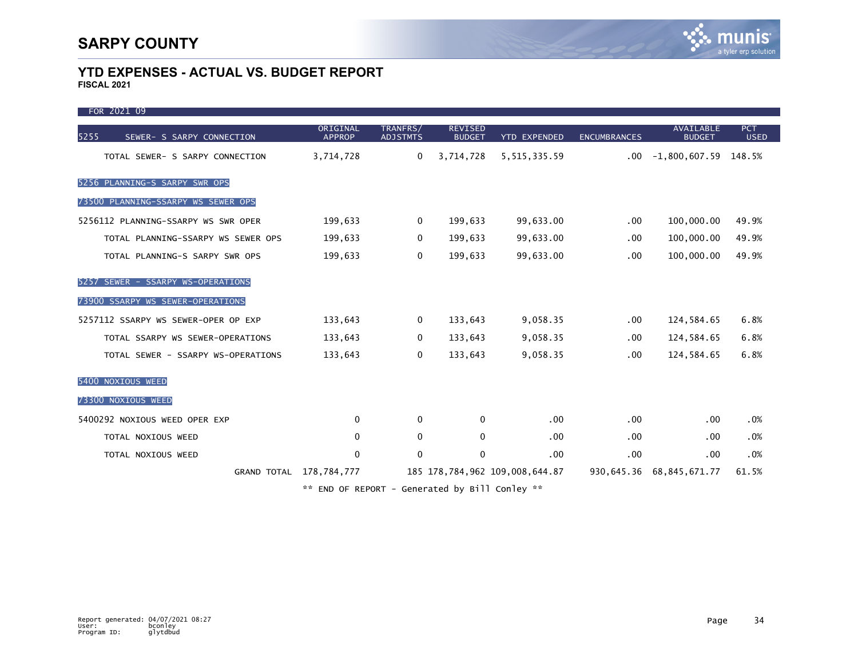FOR 2021 09 ORIGINAL TRANFRS/ REVISED AVAILABLE PCT 5255 SEWER- S SARPY CONNECTION APPROP ADJSTMTS BUDGET YTD EXPENDED ENCUMBRANCES BUDGET USED TOTAL SEWER- S SARPY CONNECTION 3,714,728 0 3,714,728 5,515,335.59 .00 -1,800,607.59 148.5% 5256 PLANNING-S SARPY SWR OPS 73500 PLANNING-SSARPY WS SEWER OPS 5256112 PLANNING-SSARPY WS SWR OPER 199,633 0 199,633 99,633.00 .00 100,000.00 49.9% TOTAL PLANNING-SSARPY WS SEWER OPS 199,633 0 199,633 00 100,000.00 109,000.00 199.9% TOTAL PLANNING-S SARPY SWR OPS 199,633 0 199,633 99,633.00 .00 100,000.00 49.9% 5257 SEWER - SSARPY WS-OPERATIONS 73900 SSARPY WS SEWER-OPERATIONS 5257112 SSARPY WS SEWER-OPER OP EXP 133,643 0 133,643 9,058.35 .00 124,584.65 6.8% TOTAL SSARPY WS SEWER-OPERATIONS  $133,643$  0  $133,643$  9,058.35 .00 124,584.65 6.8% TOTAL SEWER - SSARPY WS-OPERATIONS  $133,643$  0  $133,643$  9,058.35 .00 124,584.65 6.8% 5400 NOXIOUS WEED 73300 NOXIOUS WEED 5400292 NOXIOUS WEED OPER EXP 0 0 0 .00 .00 .00 .0% TOTAL NOXIOUS WEED 0 0 0 .00 .00 .00 .0% TOTAL NOXIOUS WEED 0 0 0 .00 .00 .00 .0% GRAND TOTAL 178,784,777 185 178,784,962 109,008,644.87 930,645.36 68,845,671.77 61.5%

\*\* END OF REPORT - Generated by Bill Conley \*\*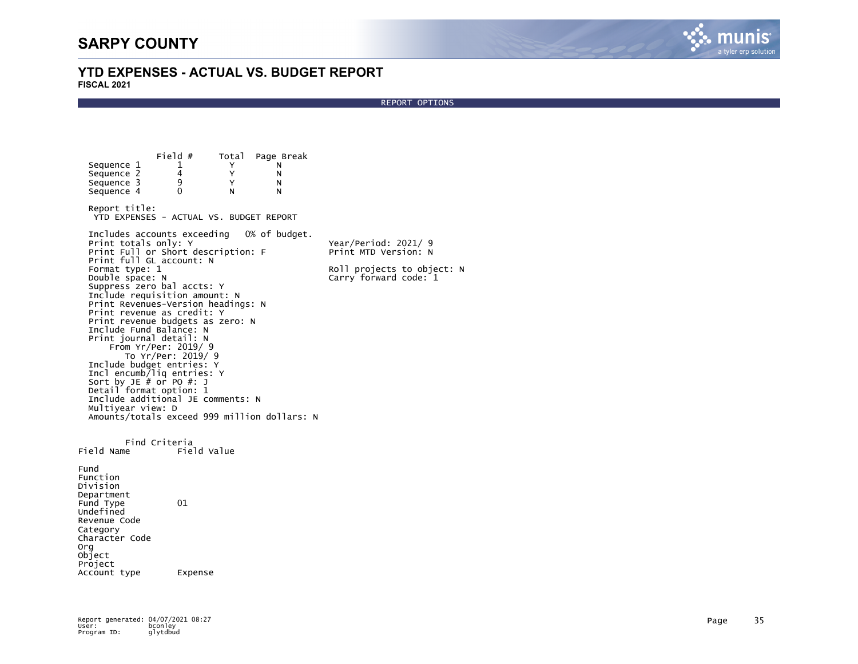

REPORT OPTIONS

Field # Total Page Break<br>1 Y N Sequence 1 1 Y N<br>Sequence 2 4 Y N Sequence 2  $\begin{array}{ccccc} 4 & & Y & & N \\ \text{Sequence 3} & & 9 & & Y & & N \end{array}$ Sequence 3 9 Y N<br>Sequence 4 0 N N Sequence 4 Report title: YTD EXPENSES - ACTUAL VS. BUDGET REPORT Includes accounts exceeding 0% of budget. Print totals only: Y<br>Print Full or Short description: F The Print MTD Version: N Print Full or Short description: F Print full GL account: N<br>Format type: 1 Format type: 1 Roll projects to object: N now first code: 1 Suppress zero bal accts: Y Include requisition amount: N Print Revenues-Version headings: N Print revenue as credit: Y Print revenue budgets as zero: N Include Fund Balance: N Print journal detail: N From Yr/Per: 2019/ 9 To Yr/Per: 2019/ 9 Include budget entries: Y Incl encumb/liq entries: Y Sort by JE # or PO #: J Detail format option: 1 Include additional JE comments: N Multiyear view: D Amounts/totals exceed 999 million dollars: N Find Criteria<br>Eield Value Field Name Fund Function Division Department Fund Type 01 Undefined Revenue Code Category Character Code Org Object Project Account type Expense